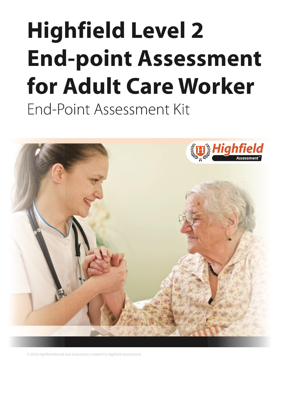# <span id="page-0-0"></span>**Highfield Level 2 End-point Assessment** for Adult Care Worker End-Point Assessment Kit



© 2018 Highfield Recruit and Assessment Limited t/a Highfield Assessment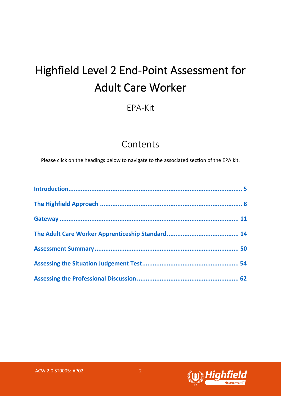# Highfield Level 2 End-Point Assessment for Adult Care Worker

EPA-Kit

# Contents

Please click on the headings below to navigate to the associated section of the EPA kit.

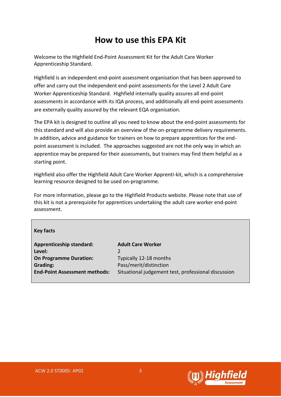# **How to use this EPA Kit**

Welcome to the Highfield End-Point Assessment Kit for the Adult Care Worker Apprenticeship Standard.

Highfield is an independent end-point assessment organisation that has been approved to offer and carry out the independent end-point assessments for the Level 2 Adult Care Worker Apprenticeship Standard. Highfield internally quality assures all end-point assessments in accordance with its IQA process, and additionally all end-point assessments are externally quality assured by the relevant EQA organisation.

The EPA kit is designed to outline all you need to know about the end-point assessments for this standard and will also provide an overview of the on-programme delivery requirements. In addition**,** advice and guidance for trainers on how to prepare apprentices for the endpoint assessment is included. The approaches suggested are not the only way in which an apprentice may be prepared for their assessments, but trainers may find them helpful as a starting point.

Highfield also offer the Highfield Adult Care Worker Apprenti-kit, which is a comprehensive learning resource designed to be used on-programme.

For more information, please go to the Highfield Products website. Please note that use of this kit is not a prerequisite for apprentices undertaking the adult care worker end-point assessment.

| <b>Key facts</b>                     |                                                     |
|--------------------------------------|-----------------------------------------------------|
| <b>Apprenticeship standard:</b>      | <b>Adult Care Worker</b>                            |
| Level:                               |                                                     |
| <b>On Programme Duration:</b>        | Typically 12-18 months                              |
| <b>Grading:</b>                      | Pass/merit/distinction                              |
| <b>End-Point Assessment methods:</b> | Situational judgement test, professional discussion |
|                                      |                                                     |

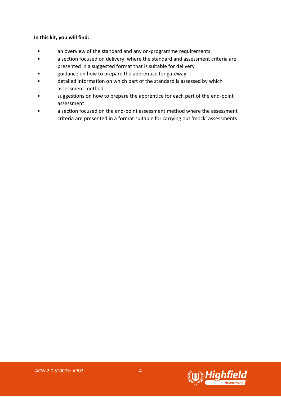#### **In this kit, you will find:**

- an overview of the standard and any on-programme requirements
- a section focused on delivery, where the standard and assessment criteria are presented in a suggested format that is suitable for delivery
- guidance on how to prepare the apprentice for gateway
- detailed information on which part of the standard is assessed by which assessment method
- suggestions on how to prepare the apprentice for each part of the end-point assessment
- a section focused on the end-point assessment method where the assessment criteria are presented in a format suitable for carrying out 'mock' assessments

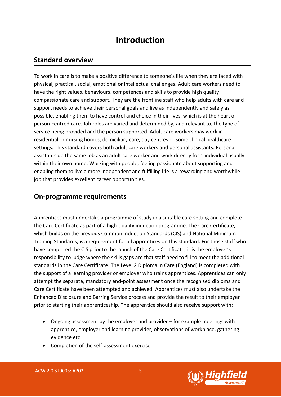# **Introduction**

## <span id="page-4-0"></span>**Standard overview**

To work in care is to make a positive difference to someone's life when they are faced with physical, practical, social, emotional or intellectual challenges. Adult care workers need to have the right values, behaviours, competences and skills to provide high quality compassionate care and support. They are the frontline staff who help adults with care and support needs to achieve their personal goals and live as independently and safely as possible, enabling them to have control and choice in their lives, which is at the heart of person-centred care. Job roles are varied and determined by, and relevant to, the type of service being provided and the person supported. Adult care workers may work in residential or nursing homes, domiciliary care, day centres or some clinical healthcare settings. This standard covers both adult care workers and personal assistants. Personal assistants do the same job as an adult care worker and work directly for 1 individual usually within their own home. Working with people, feeling passionate about supporting and enabling them to live a more independent and fulfilling life is a rewarding and worthwhile job that provides excellent career opportunities.

## **On-programme requirements**

Apprentices must undertake a programme of study in a suitable care setting and complete the Care Certificate as part of a high-quality induction programme. The Care Certificate, which builds on the previous Common Induction Standards (CIS) and National Minimum Training Standards, is a requirement for all apprentices on this standard. For those staff who have completed the CIS prior to the launch of the Care Certificate, it is the employer's responsibility to judge where the skills gaps are that staff need to fill to meet the additional standards in the Care Certificate. The Level 2 Diploma in Care (England) is completed with the support of a learning provider or employer who trains apprentices. Apprentices can only attempt the separate, mandatory end-point assessment once the recognised diploma and Care Certificate have been attempted and achieved. Apprentices must also undertake the Enhanced Disclosure and Barring Service process and provide the result to their employer prior to starting their apprenticeship. The apprentice should also receive support with:

- Ongoing assessment by the employer and provider for example meetings with apprentice, employer and learning provider, observations of workplace, gathering evidence etc.
- Completion of the self-assessment exercise

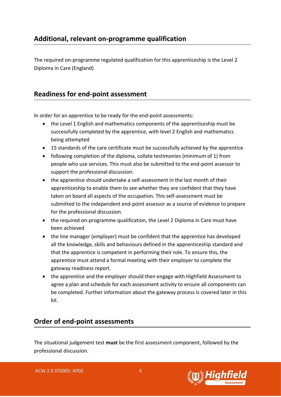## **Additional, relevant on-programme qualification**

The required on-programme regulated qualification for this apprenticeship is the Level 2 Diploma in Care (England)

## **Readiness for end-point assessment**

In order for an apprentice to be ready for the end-point assessments:

- the Level 1 English and mathematics components of the apprenticeship must be successfully completed by the apprentice, with level 2 English and mathematics being attempted
- 15 standards of the care certificate must be successfully achieved by the apprentice
- following completion of the diploma, collate testimonies (minimum of 1) from people who use services. This must also be submitted to the end-point assessor to support the professional discussion.
- the apprentice should undertake a self-assessment in the last month of their apprenticeship to enable them to see whether they are confident that they have taken on board all aspects of the occupation. This self-assessment must be submitted to the independent end-point assessor as a source of evidence to prepare for the professional discussion.
- the required on-programme qualification, the Level 2 Diploma in Care must have been achieved
- the line manager (employer) must be confident that the apprentice has developed all the knowledge, skills and behaviours defined in the apprenticeship standard and that the apprentice is competent in performing their role. To ensure this, the apprentice must attend a formal meeting with their employer to complete the gateway readiness report.
- the apprentice and the employer should then engage with Highfield Assessment to agree a plan and schedule for each assessment activity to ensure all components can be completed. Further information about the gateway process is covered later in this kit.

## **Order of end-point assessments**

The situational judgement test **must** be the first assessment component, followed by the professional discussion.

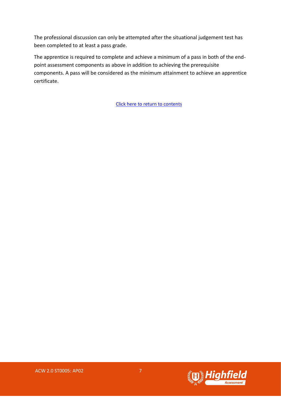The professional discussion can only be attempted after the situational judgement test has been completed to at least a pass grade.

The apprentice is required to complete and achieve a minimum of a pass in both of the endpoint assessment components as above in addition to achieving the prerequisite components. A pass will be considered as the minimum attainment to achieve an apprentice certificate.

[Click here to return to contents](#page-0-0)

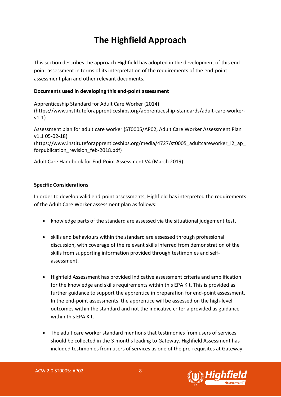# **The Highfield Approach**

<span id="page-7-0"></span>This section describes the approach Highfield has adopted in the development of this endpoint assessment in terms of its interpretation of the requirements of the end-point assessment plan and other relevant documents.

#### **Documents used in developing this end-point assessment**

Apprenticeship Standard for Adult Care Worker (2014) (https://www.instituteforapprenticeships.org/apprenticeship-standards/adult-care-workerv1-1)

Assessment plan for adult care worker (ST0005/AP02, Adult Care Worker Assessment Plan v1.1 05-02-18) (https://www.instituteforapprenticeships.org/media/4727/st0005\_adultcareworker\_l2\_ap\_ forpublication revision feb-2018.pdf)

Adult Care Handbook for End-Point Assessment V4 (March 2019)

#### **Specific Considerations**

In order to develop valid end-point assessments, Highfield has interpreted the requirements of the Adult Care Worker assessment plan as follows:

- knowledge parts of the standard are assessed via the situational judgement test.
- skills and behaviours within the standard are assessed through professional discussion, with coverage of the relevant skills inferred from demonstration of the skills from supporting information provided through testimonies and selfassessment.
- Highfield Assessment has provided indicative assessment criteria and amplification for the knowledge and skills requirements within this EPA Kit. This is provided as further guidance to support the apprentice in preparation for end-point assessment. In the end-point assessments, the apprentice will be assessed on the high-level outcomes within the standard and not the indicative criteria provided as guidance within this EPA Kit.
- The adult care worker standard mentions that testimonies from users of services should be collected in the 3 months leading to Gateway. Highfield Assessment has included testimonies from users of services as one of the pre-requisites at Gateway.

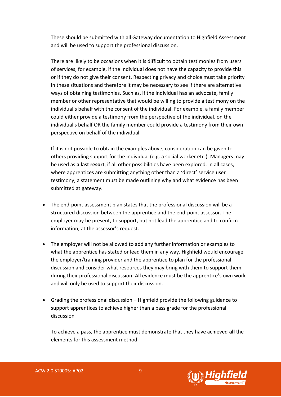These should be submitted with all Gateway documentation to Highfield Assessment and will be used to support the professional discussion.

There are likely to be occasions when it is difficult to obtain testimonies from users of services, for example, if the individual does not have the capacity to provide this or if they do not give their consent. Respecting privacy and choice must take priority in these situations and therefore it may be necessary to see if there are alternative ways of obtaining testimonies. Such as, if the individual has an advocate, family member or other representative that would be willing to provide a testimony on the individual's behalf with the consent of the individual. For example, a family member could either provide a testimony from the perspective of the individual, on the individual's behalf OR the family member could provide a testimony from their own perspective on behalf of the individual.

If it is not possible to obtain the examples above, consideration can be given to others providing support for the individual (e.g. a social worker etc.). Managers may be used as **a last resort**, if all other possibilities have been explored. In all cases, where apprentices are submitting anything other than a 'direct' service user testimony, a statement must be made outlining why and what evidence has been submitted at gateway.

- The end-point assessment plan states that the professional discussion will be a structured discussion between the apprentice and the end-point assessor. The employer may be present, to support, but not lead the apprentice and to confirm information, at the assessor's request.
- The employer will not be allowed to add any further information or examples to what the apprentice has stated or lead them in any way. Highfield would encourage the employer/training provider and the apprentice to plan for the professional discussion and consider what resources they may bring with them to support them during their professional discussion. All evidence must be the apprentice's own work and will only be used to support their discussion.
- Grading the professional discussion Highfield provide the following guidance to support apprentices to achieve higher than a pass grade for the professional discussion

To achieve a pass, the apprentice must demonstrate that they have achieved **all** the elements for this assessment method.

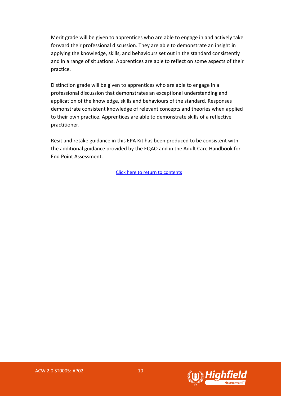Merit grade will be given to apprentices who are able to engage in and actively take forward their professional discussion. They are able to demonstrate an insight in applying the knowledge, skills, and behaviours set out in the standard consistently and in a range of situations. Apprentices are able to reflect on some aspects of their practice.

Distinction grade will be given to apprentices who are able to engage in a professional discussion that demonstrates an exceptional understanding and application of the knowledge, skills and behaviours of the standard. Responses demonstrate consistent knowledge of relevant concepts and theories when applied to their own practice. Apprentices are able to demonstrate skills of a reflective practitioner.

Resit and retake guidance in this EPA Kit has been produced to be consistent with the additional guidance provided by the EQAO and in the Adult Care Handbook for End Point Assessment.

[Click here to return to contents](#page-0-0)



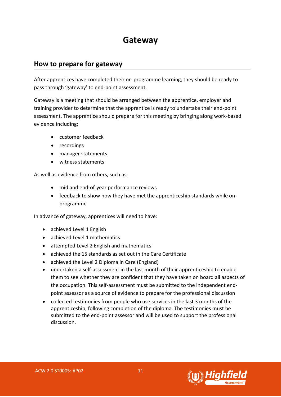## **Gateway**

## <span id="page-10-0"></span>**How to prepare for gateway**

After apprentices have completed their on-programme learning, they should be ready to pass through 'gateway' to end-point assessment.

Gateway is a meeting that should be arranged between the apprentice, employer and training provider to determine that the apprentice is ready to undertake their end-point assessment. The apprentice should prepare for this meeting by bringing along work-based evidence including:

- customer feedback
- recordings
- manager statements
- witness statements

As well as evidence from others, such as:

- mid and end-of-year performance reviews
- feedback to show how they have met the apprenticeship standards while onprogramme

In advance of gateway, apprentices will need to have:

- achieved Level 1 English
- achieved Level 1 mathematics
- attempted Level 2 English and mathematics
- achieved the 15 standards as set out in the Care Certificate
- achieved the Level 2 Diploma in Care (England)
- undertaken a self-assessment in the last month of their apprenticeship to enable them to see whether they are confident that they have taken on board all aspects of the occupation. This self-assessment must be submitted to the independent endpoint assessor as a source of evidence to prepare for the professional discussion
- collected testimonies from people who use services in the last 3 months of the apprenticeship, following completion of the diploma. The testimonies must be submitted to the end-point assessor and will be used to support the professional discussion.

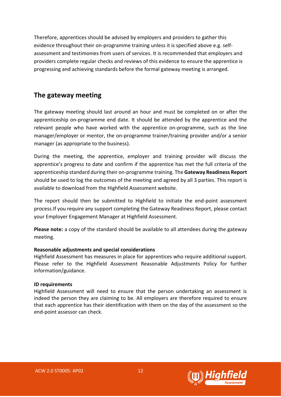Therefore, apprentices should be advised by employers and providers to gather this evidence throughout their on-programme training unless it is specified above e.g. selfassessment and testimonies from users of services. It is recommended that employers and providers complete regular checks and reviews of this evidence to ensure the apprentice is progressing and achieving standards before the formal gateway meeting is arranged.

### **The gateway meeting**

The gateway meeting should last around an hour and must be completed on or after the apprenticeship on-programme end date. It should be attended by the apprentice and the relevant people who have worked with the apprentice on-programme, such as the line manager/employer or mentor, the on-programme trainer/training provider and/or a senior manager (as appropriate to the business).

During the meeting, the apprentice, employer and training provider will discuss the apprentice's progress to date and confirm if the apprentice has met the full criteria of the apprenticeship standard during their on-programme training. The **Gateway Readiness Report**  should be used to log the outcomes of the meeting and agreed by all 3 parties. This report is available to download from the Highfield Assessment website.

The report should then be submitted to Highfield to initiate the end-point assessment process.If you require any support completing the Gateway Readiness Report, please contact your Employer Engagement Manager at Highfield Assessment.

**Please note:** a copy of the standard should be available to all attendees during the gateway meeting.

#### **Reasonable adjustments and special considerations**

Highfield Assessment has measures in place for apprentices who require additional support. Please refer to the Highfield Assessment Reasonable Adjustments Policy for further information/guidance.

#### **ID requirements**

Highfield Assessment will need to ensure that the person undertaking an assessment is indeed the person they are claiming to be. All employers are therefore required to ensure that each apprentice has their identification with them on the day of the assessment so the end-point assessor can check.



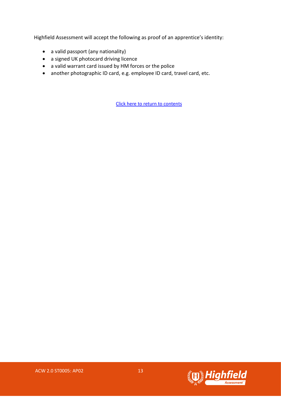Highfield Assessment will accept the following as proof of an apprentice's identity:

- a valid passport (any nationality)
- a signed UK photocard driving licence
- a valid warrant card issued by HM forces or the police
- another photographic ID card, e.g. employee ID card, travel card, etc.

[Click here to return to contents](#page-0-0)

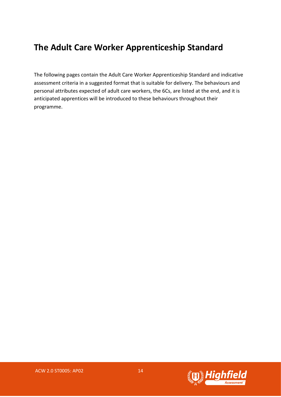# <span id="page-13-0"></span>**The Adult Care Worker Apprenticeship Standard**

The following pages contain the Adult Care Worker Apprenticeship Standard and indicative assessment criteria in a suggested format that is suitable for delivery. The behaviours and personal attributes expected of adult care workers, the 6Cs, are listed at the end, and it is anticipated apprentices will be introduced to these behaviours throughout their programme.

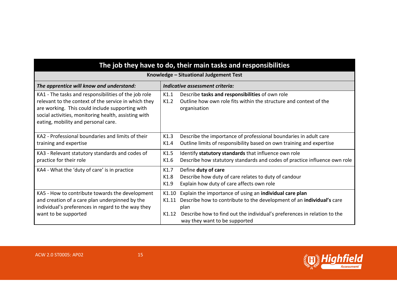| The job they have to do, their main tasks and responsibilities                                                                                                                                                                                                 |                                                                                                                                                                                                                                                                                  |  |
|----------------------------------------------------------------------------------------------------------------------------------------------------------------------------------------------------------------------------------------------------------------|----------------------------------------------------------------------------------------------------------------------------------------------------------------------------------------------------------------------------------------------------------------------------------|--|
| Knowledge - Situational Judgement Test                                                                                                                                                                                                                         |                                                                                                                                                                                                                                                                                  |  |
| The apprentice will know and understand:<br>Indicative assessment criteria:                                                                                                                                                                                    |                                                                                                                                                                                                                                                                                  |  |
| KA1 - The tasks and responsibilities of the job role<br>relevant to the context of the service in which they<br>are working. This could include supporting with<br>social activities, monitoring health, assisting with<br>eating, mobility and personal care. | Describe tasks and responsibilities of own role<br>K1.1<br>Outline how own role fits within the structure and context of the<br>K1.2<br>organisation                                                                                                                             |  |
| KA2 - Professional boundaries and limits of their<br>training and expertise                                                                                                                                                                                    | Describe the importance of professional boundaries in adult care<br>K1.3<br>Outline limits of responsibility based on own training and expertise<br>K1.4                                                                                                                         |  |
| KA3 - Relevant statutory standards and codes of<br>practice for their role                                                                                                                                                                                     | K1.5<br>Identify statutory standards that influence own role<br>Describe how statutory standards and codes of practice influence own role<br>K1.6                                                                                                                                |  |
| KA4 - What the 'duty of care' is in practice                                                                                                                                                                                                                   | Define duty of care<br>K <sub>1.7</sub><br>Describe how duty of care relates to duty of candour<br>K1.8<br>Explain how duty of care affects own role<br>K1.9                                                                                                                     |  |
| KA5 - How to contribute towards the development<br>and creation of a care plan underpinned by the<br>individual's preferences in regard to the way they<br>want to be supported                                                                                | Explain the importance of using an individual care plan<br>K1.10<br>Describe how to contribute to the development of an individual's care<br>K1.11<br>plan<br>Describe how to find out the individual's preferences in relation to the<br>K1.12<br>way they want to be supported |  |

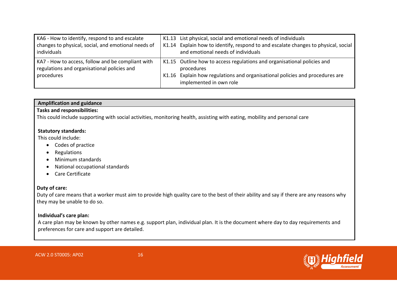| KA6 - How to identify, respond to and escalate<br>changes to physical, social, and emotional needs of<br>individuals | K1.13 List physical, social and emotional needs of individuals<br>K1.14 Explain how to identify, respond to and escalate changes to physical, social<br>and emotional needs of individuals       |
|----------------------------------------------------------------------------------------------------------------------|--------------------------------------------------------------------------------------------------------------------------------------------------------------------------------------------------|
| KA7 - How to access, follow and be compliant with<br>regulations and organisational policies and<br>procedures       | K1.15 Outline how to access regulations and organisational policies and<br>procedures<br>K1.16 Explain how regulations and organisational policies and procedures are<br>implemented in own role |

| <b>Amplification and guidance</b>                                                                                          |
|----------------------------------------------------------------------------------------------------------------------------|
| <b>Tasks and responsibilities:</b>                                                                                         |
| This could include supporting with social activities, monitoring health, assisting with eating, mobility and personal care |
|                                                                                                                            |
| <b>Statutory standards:</b>                                                                                                |
| This could include:                                                                                                        |
| Codes of practice<br>$\bullet$                                                                                             |
| Regulations                                                                                                                |
| Minimum standards                                                                                                          |
| National occupational standards                                                                                            |
| Care Certificate                                                                                                           |
|                                                                                                                            |
|                                                                                                                            |

#### **Duty of care:**

Duty of care means that a worker must aim to provide high quality care to the best of their ability and say if there are any reasons why they may be unable to do so.

#### **Individual's care plan:**

A care plan may be known by other names e.g. support plan, individual plan. It is the document where day to day requirements and preferences for care and support are detailed.

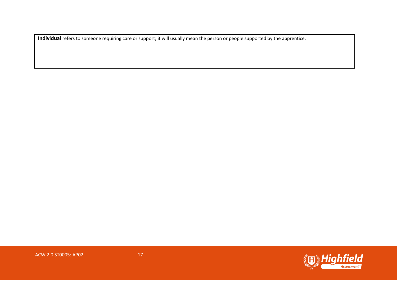**Individual** refers to someone requiring care or support; it will usually mean the person or people supported by the apprentice.

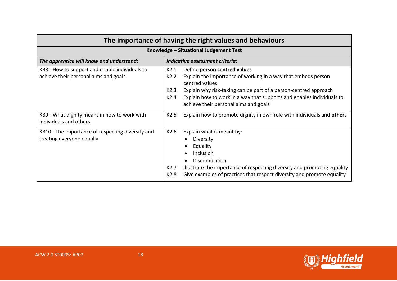| The importance of having the right values and behaviours                                |                                                                                                                                                                                                                                                                                                                                             |  |
|-----------------------------------------------------------------------------------------|---------------------------------------------------------------------------------------------------------------------------------------------------------------------------------------------------------------------------------------------------------------------------------------------------------------------------------------------|--|
| Knowledge - Situational Judgement Test                                                  |                                                                                                                                                                                                                                                                                                                                             |  |
| The apprentice will know and understand:<br>Indicative assessment criteria:             |                                                                                                                                                                                                                                                                                                                                             |  |
| KB8 - How to support and enable individuals to<br>achieve their personal aims and goals | K2.1<br>Define person centred values<br>Explain the importance of working in a way that embeds person<br>K2.2<br>centred values<br>K2.3<br>Explain why risk-taking can be part of a person-centred approach<br>K2.4<br>Explain how to work in a way that supports and enables individuals to<br>achieve their personal aims and goals       |  |
| KB9 - What dignity means in how to work with<br>individuals and others                  | K2.5<br>Explain how to promote dignity in own role with individuals and others                                                                                                                                                                                                                                                              |  |
| KB10 - The importance of respecting diversity and<br>treating everyone equally          | K <sub>2.6</sub><br>Explain what is meant by:<br>Diversity<br>$\bullet$<br>Equality<br>$\bullet$<br>Inclusion<br>$\bullet$<br>Discrimination<br>$\bullet$<br>Illustrate the importance of respecting diversity and promoting equality<br>K2.7<br>Give examples of practices that respect diversity and promote equality<br>K <sub>2.8</sub> |  |

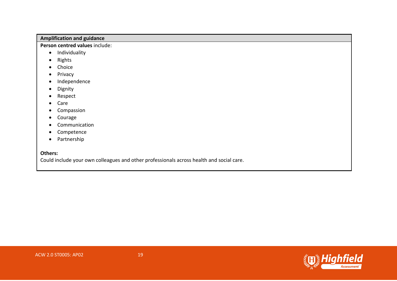#### **Amplification and guidance**

#### **Person centred values** include:

- Individuality
- Rights
- Choice
- Privacy
- Independence
- Dignity
- Respect
- Care
- Compassion
- Courage
- Communication
- Competence
- Partnership

#### **Others:**

Could include your own colleagues and other professionals across health and social care.

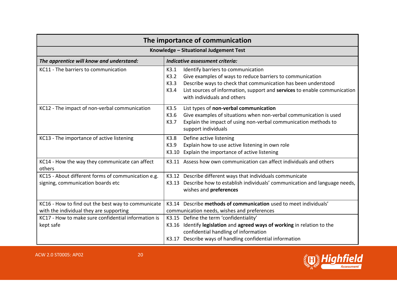| The importance of communication                                                                                                                      |                                                                                                                                                                                                                                                                                                              |  |
|------------------------------------------------------------------------------------------------------------------------------------------------------|--------------------------------------------------------------------------------------------------------------------------------------------------------------------------------------------------------------------------------------------------------------------------------------------------------------|--|
| Knowledge - Situational Judgement Test                                                                                                               |                                                                                                                                                                                                                                                                                                              |  |
| The apprentice will know and understand:                                                                                                             | Indicative assessment criteria:                                                                                                                                                                                                                                                                              |  |
| KC11 - The barriers to communication                                                                                                                 | K3.1<br>Identify barriers to communication<br>Give examples of ways to reduce barriers to communication<br>K3.2<br>K3.3<br>Describe ways to check that communication has been understood<br>List sources of information, support and services to enable communication<br>K3.4<br>with individuals and others |  |
| KC12 - The impact of non-verbal communication                                                                                                        | K3.5<br>List types of non-verbal communication<br>Give examples of situations when non-verbal communication is used<br>K3.6<br>Explain the impact of using non-verbal communication methods to<br>K3.7<br>support individuals                                                                                |  |
| KC13 - The importance of active listening                                                                                                            | Define active listening<br>K3.8<br>K3.9<br>Explain how to use active listening in own role<br>Explain the importance of active listening<br>K3.10                                                                                                                                                            |  |
| KC14 - How the way they communicate can affect<br>others                                                                                             | K3.11 Assess how own communication can affect individuals and others                                                                                                                                                                                                                                         |  |
| KC15 - About different forms of communication e.g.<br>signing, communication boards etc                                                              | K3.12 Describe different ways that individuals communicate<br>K3.13 Describe how to establish individuals' communication and language needs,<br>wishes and preferences                                                                                                                                       |  |
| KC16 - How to find out the best way to communicate<br>with the individual they are supporting<br>KC17 - How to make sure confidential information is | K3.14 Describe methods of communication used to meet individuals'<br>communication needs, wishes and preferences<br>K3.15 Define the term 'confidentiality'                                                                                                                                                  |  |
| kept safe                                                                                                                                            | K3.16 Identify legislation and agreed ways of working in relation to the<br>confidential handling of information<br>K3.17 Describe ways of handling confidential information                                                                                                                                 |  |

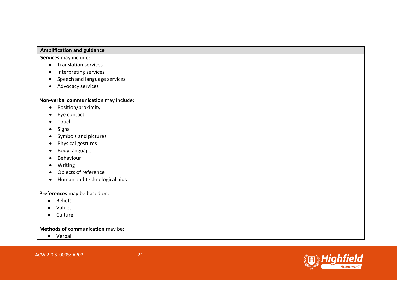#### **Amplification and guidance**

**Services** may include**:** 

- Translation services
- Interpreting services
- Speech and language services
- Advocacy services

#### **Non-verbal communication** may include:

- Position/proximity
- Eye contact
- Touch
- Signs
- Symbols and pictures
- Physical gestures
- Body language
- Behaviour
- Writing
- Objects of reference
- Human and technological aids

**Preferences** may be based on:

- Beliefs
- Values
- Culture

**Methods of communication** may be:

• Verbal

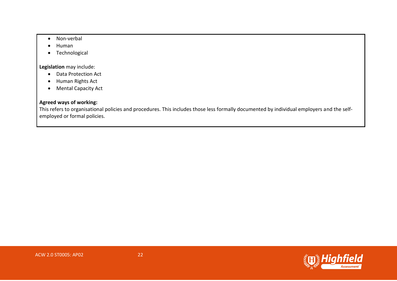- Non-verbal
- Human
- Technological

**Legislation** may include:

- Data Protection Act
- Human Rights Act
- Mental Capacity Act

#### **Agreed ways of working:**

This refers to organisational policies and procedures. This includes those less formally documented by individual employers and the selfemployed or formal policies.

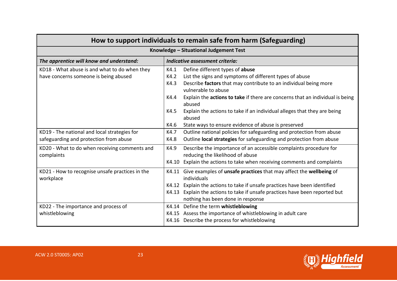| How to support individuals to remain safe from harm (Safeguarding)                                   |                                                                                                                                                                                                                                                                                                                                                                                                                                                                               |  |  |
|------------------------------------------------------------------------------------------------------|-------------------------------------------------------------------------------------------------------------------------------------------------------------------------------------------------------------------------------------------------------------------------------------------------------------------------------------------------------------------------------------------------------------------------------------------------------------------------------|--|--|
| Knowledge - Situational Judgement Test                                                               |                                                                                                                                                                                                                                                                                                                                                                                                                                                                               |  |  |
| The apprentice will know and understand:                                                             | Indicative assessment criteria:                                                                                                                                                                                                                                                                                                                                                                                                                                               |  |  |
| KD18 - What abuse is and what to do when they<br>have concerns someone is being abused               | Define different types of abuse<br>K4.1<br>List the signs and symptoms of different types of abuse<br>K4.2<br>Describe factors that may contribute to an individual being more<br>K4.3<br>vulnerable to abuse<br>Explain the actions to take if there are concerns that an individual is being<br>K4.4<br>abused<br>Explain the actions to take if an individual alleges that they are being<br>K4.5<br>abused<br>State ways to ensure evidence of abuse is preserved<br>K4.6 |  |  |
| KD19 - The national and local strategies for<br>safeguarding and protection from abuse               | Outline national policies for safeguarding and protection from abuse<br>K4.7<br>Outline local strategies for safeguarding and protection from abuse<br>K4.8                                                                                                                                                                                                                                                                                                                   |  |  |
| KD20 - What to do when receiving comments and<br>complaints                                          | Describe the importance of an accessible complaints procedure for<br>K4.9<br>reducing the likelihood of abuse<br>Explain the actions to take when receiving comments and complaints<br>K4.10                                                                                                                                                                                                                                                                                  |  |  |
| KD21 - How to recognise unsafe practices in the<br>workplace<br>KD22 - The importance and process of | K4.11 Give examples of unsafe practices that may affect the wellbeing of<br>individuals<br>K4.12 Explain the actions to take if unsafe practices have been identified<br>Explain the actions to take if unsafe practices have been reported but<br>K4.13<br>nothing has been done in response<br>K4.14 Define the term whistleblowing                                                                                                                                         |  |  |
| whistleblowing                                                                                       | K4.15 Assess the importance of whistleblowing in adult care<br>K4.16 Describe the process for whistleblowing                                                                                                                                                                                                                                                                                                                                                                  |  |  |

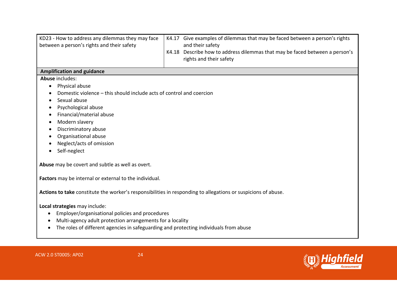| KD23 - How to address any dilemmas they may face                                                              | K4.17 Give examples of dilemmas that may be faced between a person's rights                            |  |  |
|---------------------------------------------------------------------------------------------------------------|--------------------------------------------------------------------------------------------------------|--|--|
| between a person's rights and their safety                                                                    | and their safety                                                                                       |  |  |
|                                                                                                               | K4.18 Describe how to address dilemmas that may be faced between a person's<br>rights and their safety |  |  |
|                                                                                                               |                                                                                                        |  |  |
| <b>Amplification and guidance</b>                                                                             |                                                                                                        |  |  |
| Abuse includes:                                                                                               |                                                                                                        |  |  |
| Physical abuse<br>$\bullet$                                                                                   |                                                                                                        |  |  |
| Domestic violence – this should include acts of control and coercion                                          |                                                                                                        |  |  |
| Sexual abuse                                                                                                  |                                                                                                        |  |  |
| Psychological abuse                                                                                           |                                                                                                        |  |  |
| Financial/material abuse<br>$\bullet$                                                                         |                                                                                                        |  |  |
| Modern slavery                                                                                                |                                                                                                        |  |  |
| Discriminatory abuse<br>$\bullet$                                                                             |                                                                                                        |  |  |
| Organisational abuse                                                                                          |                                                                                                        |  |  |
| Neglect/acts of omission                                                                                      |                                                                                                        |  |  |
| Self-neglect                                                                                                  |                                                                                                        |  |  |
| Abuse may be covert and subtle as well as overt.                                                              |                                                                                                        |  |  |
| Factors may be internal or external to the individual.                                                        |                                                                                                        |  |  |
| Actions to take constitute the worker's responsibilities in responding to allegations or suspicions of abuse. |                                                                                                        |  |  |
| Local strategies may include:                                                                                 |                                                                                                        |  |  |
| Employer/organisational policies and procedures<br>$\bullet$                                                  |                                                                                                        |  |  |
| Multi-agency adult protection arrangements for a locality                                                     |                                                                                                        |  |  |
| The roles of different agencies in safeguarding and protecting individuals from abuse                         |                                                                                                        |  |  |
|                                                                                                               |                                                                                                        |  |  |
|                                                                                                               |                                                                                                        |  |  |

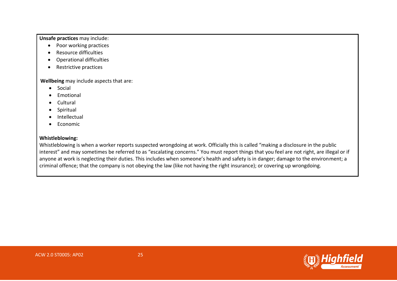**Unsafe practices** may include:

- Poor working practices
- Resource difficulties
- Operational difficulties
- Restrictive practices

**Wellbeing** may include aspects that are:

- Social
- **Emotional**
- Cultural
- Spiritual
- Intellectual
- Economic

#### **Whistleblowing:**

Whistleblowing is when a worker reports suspected wrongdoing at work. Officially this is called "making a disclosure in the public interest" and may sometimes be referred to as "escalating concerns." You must report things that you feel are not right, are illegal or if anyone at work is neglecting their duties. This includes when someone's health and safety is in danger; damage to the environment; a criminal offence; that the company is not obeying the law (like not having the right insurance); or covering up wrongdoing.

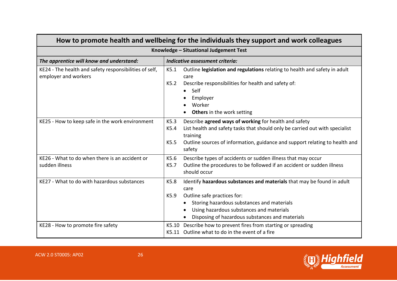| How to promote health and wellbeing for the individuals they support and work colleagues |                                                                                                                                                                                                                                                                                                                                                 |  |  |
|------------------------------------------------------------------------------------------|-------------------------------------------------------------------------------------------------------------------------------------------------------------------------------------------------------------------------------------------------------------------------------------------------------------------------------------------------|--|--|
| Knowledge - Situational Judgement Test                                                   |                                                                                                                                                                                                                                                                                                                                                 |  |  |
| The apprentice will know and understand:                                                 | Indicative assessment criteria:                                                                                                                                                                                                                                                                                                                 |  |  |
| KE24 - The health and safety responsibilities of self,<br>employer and workers           | Outline legislation and regulations relating to health and safety in adult<br>K5.1<br>care<br>K5.2<br>Describe responsibilities for health and safety of:<br>$\bullet$ Self<br>Employer<br>Worker<br>Others in the work setting                                                                                                                 |  |  |
| KE25 - How to keep safe in the work environment                                          | Describe agreed ways of working for health and safety<br>K5.3<br>List health and safety tasks that should only be carried out with specialist<br>K5.4<br>training<br>Outline sources of information, guidance and support relating to health and<br>K5.5<br>safety                                                                              |  |  |
| KE26 - What to do when there is an accident or<br>sudden illness                         | Describe types of accidents or sudden illness that may occur<br>K5.6<br>Outline the procedures to be followed if an accident or sudden illness<br>K5.7<br>should occur                                                                                                                                                                          |  |  |
| KE27 - What to do with hazardous substances<br>KE28 - How to promote fire safety         | Identify hazardous substances and materials that may be found in adult<br>K5.8<br>care<br>K5.9<br>Outline safe practices for:<br>Storing hazardous substances and materials<br>Using hazardous substances and materials<br>Disposing of hazardous substances and materials<br>Describe how to prevent fires from starting or spreading<br>K5.10 |  |  |
|                                                                                          | K5.11 Outline what to do in the event of a fire                                                                                                                                                                                                                                                                                                 |  |  |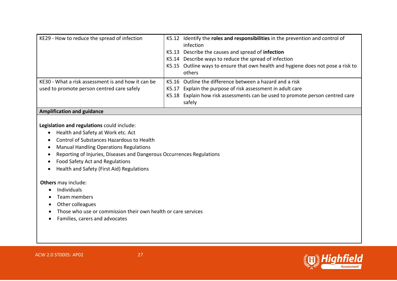| KE29 - How to reduce the spread of infection                                                     | K5.12 Identify the roles and responsibilities in the prevention and control of<br>infection<br>K5.13 Describe the causes and spread of infection<br>K5.14 Describe ways to reduce the spread of infection<br>K5.15 Outline ways to ensure that own health and hygiene does not pose a risk to<br>others |
|--------------------------------------------------------------------------------------------------|---------------------------------------------------------------------------------------------------------------------------------------------------------------------------------------------------------------------------------------------------------------------------------------------------------|
| KE30 - What a risk assessment is and how it can be<br>used to promote person centred care safely | K5.16 Outline the difference between a hazard and a risk<br>K5.17 Explain the purpose of risk assessment in adult care<br>K5.18 Explain how risk assessments can be used to promote person centred care<br>safely                                                                                       |
| <b>Amplification and guidance</b>                                                                |                                                                                                                                                                                                                                                                                                         |

**Legislation and regulations** could include:

- Health and Safety at Work etc. Act
- Control of Substances Hazardous to Health
- Manual Handling Operations Regulations
- Reporting of Injuries, Diseases and Dangerous Occurrences Regulations
- Food Safety Act and Regulations
- Health and Safety (First Aid) Regulations

**Others** may include:

- Individuals
- Team members
- Other colleagues
- Those who use or commission their own health or care services
- Families, carers and advocates

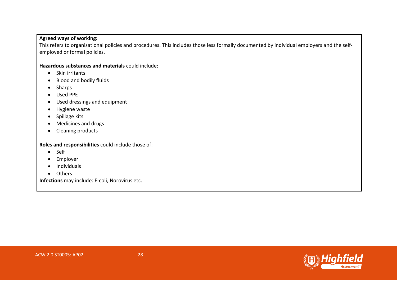#### **Agreed ways of working:**

This refers to organisational policies and procedures. This includes those less formally documented by individual employers and the selfemployed or formal policies.

#### **Hazardous substances and materials** could include:

- Skin irritants
- Blood and bodily fluids
- Sharps
- Used PPE
- Used dressings and equipment
- Hygiene waste
- Spillage kits
- Medicines and drugs
- Cleaning products

**Roles and responsibilities** could include those of:

- Self
- Employer
- Individuals
- Others

**Infections** may include: E-coli, Norovirus etc.

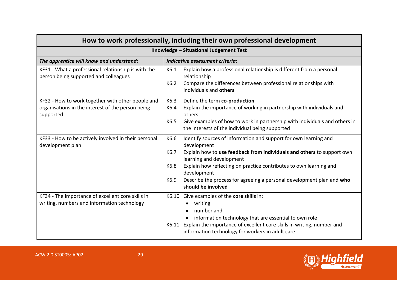| How to work professionally, including their own professional development                                            |                                                                                                              |                                                                                                                                                                                                                                                                                           |  |
|---------------------------------------------------------------------------------------------------------------------|--------------------------------------------------------------------------------------------------------------|-------------------------------------------------------------------------------------------------------------------------------------------------------------------------------------------------------------------------------------------------------------------------------------------|--|
| Knowledge - Situational Judgement Test                                                                              |                                                                                                              |                                                                                                                                                                                                                                                                                           |  |
| The apprentice will know and understand:                                                                            | Indicative assessment criteria:                                                                              |                                                                                                                                                                                                                                                                                           |  |
| KF31 - What a professional relationship is with the<br>person being supported and colleagues                        | K6.1<br>relationship<br>K6.2<br>individuals and others                                                       | Explain how a professional relationship is different from a personal<br>Compare the differences between professional relationships with                                                                                                                                                   |  |
| KF32 - How to work together with other people and<br>organisations in the interest of the person being<br>supported | K6.3<br>Define the term co-production<br>K6.4<br>others<br>K6.5                                              | Explain the importance of working in partnership with individuals and<br>Give examples of how to work in partnership with individuals and others in<br>the interests of the individual being supported                                                                                    |  |
| KF33 - How to be actively involved in their personal<br>development plan                                            | K6.6<br>development<br>K6.7<br>learning and development<br>K6.8<br>development<br>K6.9<br>should be involved | Identify sources of information and support for own learning and<br>Explain how to use feedback from individuals and others to support own<br>Explain how reflecting on practice contributes to own learning and<br>Describe the process for agreeing a personal development plan and who |  |
| KF34 - The importance of excellent core skills in<br>writing, numbers and information technology                    | K6.10 Give examples of the core skills in:<br>writing<br>number and<br>K6.11                                 | information technology that are essential to own role<br>Explain the importance of excellent core skills in writing, number and<br>information technology for workers in adult care                                                                                                       |  |

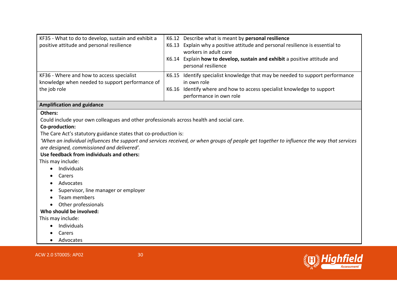| KF35 - What to do to develop, sustain and exhibit a<br>positive attitude and personal resilience             | K6.12 Describe what is meant by personal resilience<br>K6.13 Explain why a positive attitude and personal resilience is essential to<br>workers in adult care<br>K6.14 Explain how to develop, sustain and exhibit a positive attitude and<br>personal resilience |
|--------------------------------------------------------------------------------------------------------------|-------------------------------------------------------------------------------------------------------------------------------------------------------------------------------------------------------------------------------------------------------------------|
| KF36 - Where and how to access specialist<br>knowledge when needed to support performance of<br>the job role | K6.15 Identify specialist knowledge that may be needed to support performance<br>in own role<br>K6.16 Identify where and how to access specialist knowledge to support<br>performance in own role                                                                 |

#### **Amplification and guidance**

#### **Others:**

Could include your own colleagues and other professionals across health and social care.

#### **Co-production:**

The Care Act's statutory guidance states that co-production is:

*'When an individual influences the support and services received, or when groups of people get together to influence the way that services are designed, commissioned and delivered'.* 

#### **Use feedback from individuals and others:**

This may include:

- Individuals
- Carers
- Advocates
- Supervisor, line manager or employer
- Team members
- Other professionals

#### **Who should be involved:**

This may include:

- Individuals
- **Carers**
- Advocates

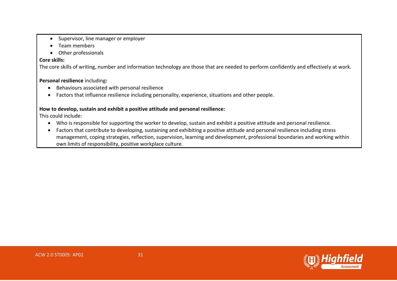- Supervisor, line manager or employer
- Team members
- Other professionals

#### **Core skills:**

The core skills of writing, number and information technology are those that are needed to perform confidently and effectively at work.

#### **Personal resilience** including**:**

- Behaviours associated with personal resilience
- Factors that influence resilience including personality, experience, situations and other people.

#### **How to develop, sustain and exhibit a positive attitude and personal resilience:**

This could include:

- Who is responsible for supporting the worker to develop, sustain and exhibit a positive attitude and personal resilience.
- Factors that contribute to developing, sustaining and exhibiting a positive attitude and personal resilience including stress management, coping strategies, reflection, supervision, learning and development, professional boundaries and working within own limits of responsibility, positive workplace culture.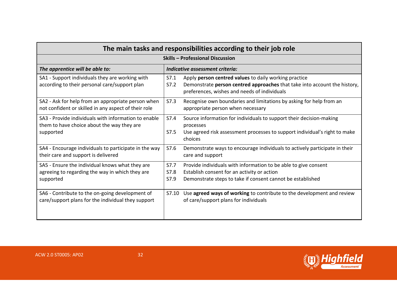| The main tasks and responsibilities according to their job role                                                 |                                 |                                                                                                                                                                                    |  |  |
|-----------------------------------------------------------------------------------------------------------------|---------------------------------|------------------------------------------------------------------------------------------------------------------------------------------------------------------------------------|--|--|
| Skills - Professional Discussion                                                                                |                                 |                                                                                                                                                                                    |  |  |
| The apprentice will be able to:                                                                                 | Indicative assessment criteria: |                                                                                                                                                                                    |  |  |
| SA1 - Support individuals they are working with<br>according to their personal care/support plan                | S7.1<br>S7.2                    | Apply person centred values to daily working practice<br>Demonstrate person centred approaches that take into account the history,<br>preferences, wishes and needs of individuals |  |  |
| SA2 - Ask for help from an appropriate person when<br>not confident or skilled in any aspect of their role      | S7.3                            | Recognise own boundaries and limitations by asking for help from an<br>appropriate person when necessary                                                                           |  |  |
| SA3 - Provide individuals with information to enable<br>them to have choice about the way they are<br>supported | S7.4<br>S7.5                    | Source information for individuals to support their decision-making<br>processes<br>Use agreed risk assessment processes to support individual's right to make<br>choices          |  |  |
| SA4 - Encourage individuals to participate in the way<br>their care and support is delivered                    | S7.6                            | Demonstrate ways to encourage individuals to actively participate in their<br>care and support                                                                                     |  |  |
| SA5 - Ensure the individual knows what they are<br>agreeing to regarding the way in which they are<br>supported | S7.7<br>S7.8<br>S7.9            | Provide individuals with information to be able to give consent<br>Establish consent for an activity or action<br>Demonstrate steps to take if consent cannot be established       |  |  |
| SA6 - Contribute to the on-going development of<br>care/support plans for the individual they support           | S7.10                           | Use agreed ways of working to contribute to the development and review<br>of care/support plans for individuals                                                                    |  |  |

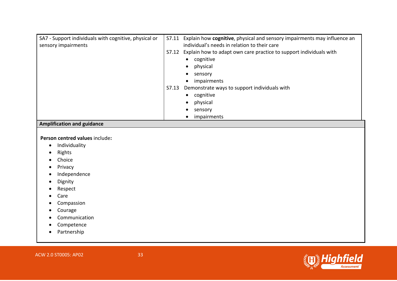| SA7 - Support individuals with cognitive, physical or<br>sensory impairments |       | S7.11 Explain how cognitive, physical and sensory impairments may influence an<br>individual's needs in relation to their care |
|------------------------------------------------------------------------------|-------|--------------------------------------------------------------------------------------------------------------------------------|
|                                                                              | S7.12 | Explain how to adapt own care practice to support individuals with                                                             |
|                                                                              |       | cognitive<br>٠                                                                                                                 |
|                                                                              |       | physical                                                                                                                       |
|                                                                              |       | sensory                                                                                                                        |
|                                                                              |       | impairments                                                                                                                    |
|                                                                              | S7.13 | Demonstrate ways to support individuals with                                                                                   |
|                                                                              |       | • cognitive                                                                                                                    |
|                                                                              |       | physical                                                                                                                       |
|                                                                              |       | sensory                                                                                                                        |
|                                                                              |       | impairments                                                                                                                    |
| <b>Amplification and guidance</b>                                            |       |                                                                                                                                |

**Person centred values** include**:**

- Individuality
- Rights
- Choice
- Privacy
- Independence
- Dignity
- Respect
- Care
- Compassion
- Courage
- Communication
- Competence
- Partnership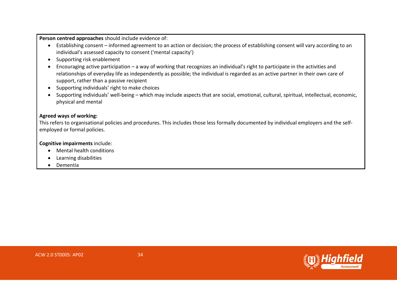**Person centred approaches** should include evidence of:

- Establishing consent informed agreement to an action or decision; the process of establishing consent will vary according to an individual's assessed capacity to consent ('mental capacity')
- Supporting risk enablement
- Encouraging active participation a way of working that recognizes an individual's right to participate in the activities and relationships of everyday life as independently as possible; the individual is regarded as an active partner in their own care of support, rather than a passive recipient
- Supporting individuals' right to make choices
- Supporting individuals' well-being which may include aspects that are social, emotional, cultural, spiritual, intellectual, economic, physical and mental

#### **Agreed ways of working:**

This refers to organisational policies and procedures. This includes those less formally documented by individual employers and the selfemployed or formal policies.

#### **Cognitive impairments** include:

- Mental health conditions
- Learning disabilities
- Dementia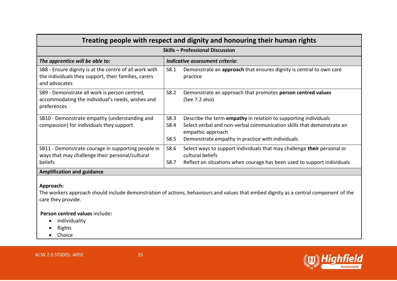| Treating people with respect and dignity and honouring their human rights                                                       |                                                                                                                                                                                                                                           |  |  |  |  |
|---------------------------------------------------------------------------------------------------------------------------------|-------------------------------------------------------------------------------------------------------------------------------------------------------------------------------------------------------------------------------------------|--|--|--|--|
| Skills - Professional Discussion                                                                                                |                                                                                                                                                                                                                                           |  |  |  |  |
| The apprentice will be able to:                                                                                                 | Indicative assessment criteria:                                                                                                                                                                                                           |  |  |  |  |
| SB8 - Ensure dignity is at the centre of all work with<br>the individuals they support, their families, carers<br>and advocates | S8.1<br>Demonstrate an <b>approach</b> that ensures dignity is central to own care<br>practice                                                                                                                                            |  |  |  |  |
| SB9 - Demonstrate all work is person centred,<br>accommodating the individual's needs, wishes and<br>preferences                | S8.2<br>Demonstrate an approach that promotes person centred values<br>(See 7.2 also)                                                                                                                                                     |  |  |  |  |
| SB10 - Demonstrate empathy (understanding and<br>compassion) for individuals they support                                       | S8.3<br>Describe the term empathy in relation to supporting individuals<br>Select verbal and non-verbal communication skills that demonstrate an<br>S8.4<br>empathic approach<br>Demonstrate empathy in practice with individuals<br>S8.5 |  |  |  |  |
| SB11 - Demonstrate courage in supporting people in<br>ways that may challenge their personal/cultural<br>beliefs                | S8.6<br>Select ways to support individuals that may challenge their personal or<br>cultural beliefs<br>Reflect on situations when courage has been used to support individuals<br>S8.7                                                    |  |  |  |  |
| <b>Amplification and guidance</b>                                                                                               |                                                                                                                                                                                                                                           |  |  |  |  |

#### **Approach:**

The workers approach should include demonstration of actions, behaviours and values that embed dignity as a central component of the care they provide.

#### **Person centred values** include**:**

- Individuality
- Rights
- Choice

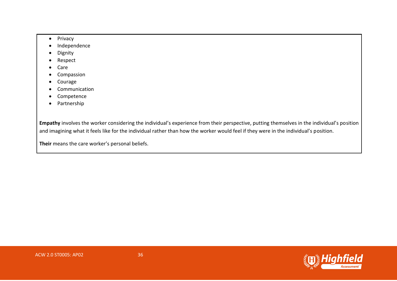- Privacy
- Independence
- Dignity
- Respect
- Care
- Compassion
- Courage
- Communication
- Competence
- Partnership

**Empathy** involves the worker considering the individual's experience from their perspective, putting themselves in the individual's position and imagining what it feels like for the individual rather than how the worker would feel if they were in the individual's position.

**Their** means the care worker's personal beliefs.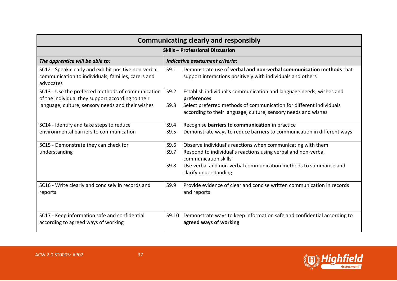| <b>Communicating clearly and responsibly</b>                                                                            |       |                                                                                                                                       |  |
|-------------------------------------------------------------------------------------------------------------------------|-------|---------------------------------------------------------------------------------------------------------------------------------------|--|
| Skills - Professional Discussion                                                                                        |       |                                                                                                                                       |  |
| The apprentice will be able to:<br>Indicative assessment criteria:                                                      |       |                                                                                                                                       |  |
| SC12 - Speak clearly and exhibit positive non-verbal<br>communication to individuals, families, carers and<br>advocates | S9.1  | Demonstrate use of verbal and non-verbal communication methods that<br>support interactions positively with individuals and others    |  |
| SC13 - Use the preferred methods of communication<br>of the individual they support according to their                  | S9.2  | Establish individual's communication and language needs, wishes and<br>preferences                                                    |  |
| language, culture, sensory needs and their wishes                                                                       | S9.3  | Select preferred methods of communication for different individuals<br>according to their language, culture, sensory needs and wishes |  |
| SC14 - Identify and take steps to reduce                                                                                | S9.4  | Recognise barriers to communication in practice                                                                                       |  |
| environmental barriers to communication                                                                                 | S9.5  | Demonstrate ways to reduce barriers to communication in different ways                                                                |  |
| SC15 - Demonstrate they can check for                                                                                   | S9.6  | Observe individual's reactions when communicating with them                                                                           |  |
| understanding                                                                                                           | S9.7  | Respond to individual's reactions using verbal and non-verbal<br>communication skills                                                 |  |
|                                                                                                                         | S9.8  | Use verbal and non-verbal communication methods to summarise and<br>clarify understanding                                             |  |
| SC16 - Write clearly and concisely in records and<br>reports                                                            | S9.9  | Provide evidence of clear and concise written communication in records<br>and reports                                                 |  |
| SC17 - Keep information safe and confidential<br>according to agreed ways of working                                    | S9.10 | Demonstrate ways to keep information safe and confidential according to<br>agreed ways of working                                     |  |

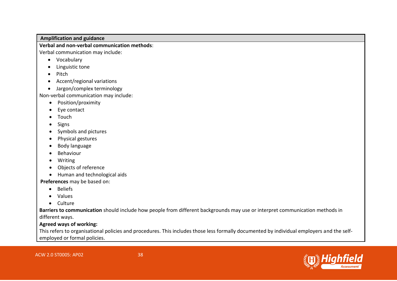### **Amplification and guidance**

### **Verbal and non-verbal communication methods**:

Verbal communication may include:

- Vocabulary
- Linguistic tone
- Pitch
- Accent/regional variations
- Jargon/complex terminology

Non-verbal communication may include:

- Position/proximity
- Eye contact
- Touch
- Signs
- Symbols and pictures
- Physical gestures
- Body language
- Behaviour
- Writing
- Objects of reference
- Human and technological aids

**Preferences** may be based on:

- Beliefs
- Values
- Culture

**Barriers to communication** should include how people from different backgrounds may use or interpret communication methods in different ways.

## **Agreed ways of working:**

This refers to organisational policies and procedures. This includes those less formally documented by individual employers and the selfemployed or formal policies.

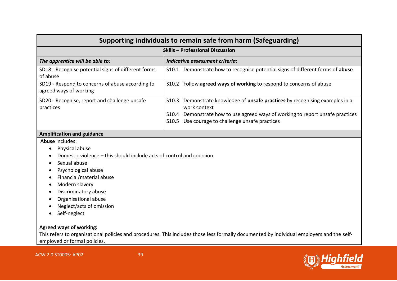| Supporting individuals to remain safe from harm (Safeguarding)             |                                                                                                                    |  |  |
|----------------------------------------------------------------------------|--------------------------------------------------------------------------------------------------------------------|--|--|
| Skills - Professional Discussion                                           |                                                                                                                    |  |  |
| The apprentice will be able to:<br>Indicative assessment criteria:         |                                                                                                                    |  |  |
| SD18 - Recognise potential signs of different forms<br>of abuse            | Demonstrate how to recognise potential signs of different forms of abuse<br>S10.1                                  |  |  |
| SD19 - Respond to concerns of abuse according to<br>agreed ways of working | Follow agreed ways of working to respond to concerns of abuse<br>S10.2                                             |  |  |
| SD20 - Recognise, report and challenge unsafe<br>practices                 | Demonstrate knowledge of <b>unsafe practices</b> by recognising examples in a<br>S <sub>10.3</sub><br>work context |  |  |
|                                                                            | Demonstrate how to use agreed ways of working to report unsafe practices<br>S10.4                                  |  |  |
|                                                                            | S10.5 Use courage to challenge unsafe practices                                                                    |  |  |
| <b>Amplification and guidance</b>                                          |                                                                                                                    |  |  |
| Abuse includes:                                                            |                                                                                                                    |  |  |
| Physical abuse                                                             |                                                                                                                    |  |  |
| Domestic violence – this should include acts of control and coercion       |                                                                                                                    |  |  |

- Sexual abuse
- Psychological abuse
- Financial/material abuse
- Modern slavery
- Discriminatory abuse
- Organisational abuse
- Neglect/acts of omission
- Self-neglect

### **Agreed ways of working:**

This refers to organisational policies and procedures. This includes those less formally documented by individual employers and the selfemployed or formal policies.

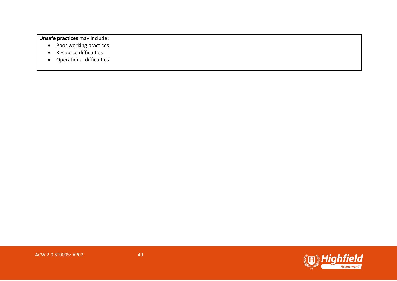**Unsafe practices** may include:

- Poor working practices
- Resource difficulties
- Operational difficulties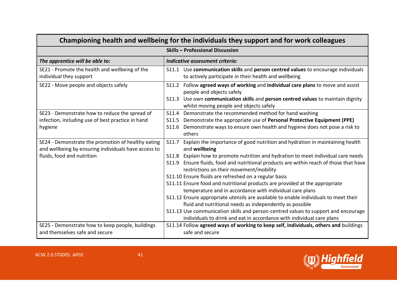| Championing health and wellbeing for the individuals they support and for work colleagues                                                |                                                                                                                                                                                                                                                                                                                                                                                                                                                                                                                                                                                                                                                                                                                                                                                                                                                          |  |  |
|------------------------------------------------------------------------------------------------------------------------------------------|----------------------------------------------------------------------------------------------------------------------------------------------------------------------------------------------------------------------------------------------------------------------------------------------------------------------------------------------------------------------------------------------------------------------------------------------------------------------------------------------------------------------------------------------------------------------------------------------------------------------------------------------------------------------------------------------------------------------------------------------------------------------------------------------------------------------------------------------------------|--|--|
|                                                                                                                                          | Skills - Professional Discussion                                                                                                                                                                                                                                                                                                                                                                                                                                                                                                                                                                                                                                                                                                                                                                                                                         |  |  |
| The apprentice will be able to:                                                                                                          | Indicative assessment criteria:                                                                                                                                                                                                                                                                                                                                                                                                                                                                                                                                                                                                                                                                                                                                                                                                                          |  |  |
| SE21 - Promote the health and wellbeing of the<br>individual they support                                                                | S11.1 Use communication skills and person centred values to encourage individuals<br>to actively participate in their health and wellbeing                                                                                                                                                                                                                                                                                                                                                                                                                                                                                                                                                                                                                                                                                                               |  |  |
| SE22 - Move people and objects safely                                                                                                    | S11.2 Follow agreed ways of working and individual care plans to move and assist<br>people and objects safely<br>S11.3 Use own communication skills and person centred values to maintain dignity<br>whilst moving people and objects safely                                                                                                                                                                                                                                                                                                                                                                                                                                                                                                                                                                                                             |  |  |
| SE23 - Demonstrate how to reduce the spread of<br>infection, including use of best practice in hand<br>hygiene                           | S11.4 Demonstrate the recommended method for hand washing<br>S11.5 Demonstrate the appropriate use of Personal Protective Equipment (PPE)<br>Demonstrate ways to ensure own health and hygiene does not pose a risk to<br>S11.6<br>others                                                                                                                                                                                                                                                                                                                                                                                                                                                                                                                                                                                                                |  |  |
| SE24 - Demonstrate the promotion of healthy eating<br>and wellbeing by ensuring individuals have access to<br>fluids, food and nutrition | Explain the importance of good nutrition and hydration in maintaining health<br>S11.7<br>and wellbeing<br>S11.8 Explain how to promote nutrition and hydration to meet individual care needs<br>S11.9 Ensure fluids, food and nutritional products are within reach of those that have<br>restrictions on their movement/mobility<br>S11.10 Ensure fluids are refreshed on a regular basis<br>S11.11 Ensure food and nutritional products are provided at the appropriate<br>temperature and in accordance with individual care plans<br>S11.12 Ensure appropriate utensils are available to enable individuals to meet their<br>fluid and nutritional needs as independently as possible<br>S11.13 Use communication skills and person-centred values to support and encourage<br>individuals to drink and eat in accordance with individual care plans |  |  |
| SE25 - Demonstrate how to keep people, buildings<br>and themselves safe and secure                                                       | S11.14 Follow agreed ways of working to keep self, individuals, others and buildings<br>safe and secure                                                                                                                                                                                                                                                                                                                                                                                                                                                                                                                                                                                                                                                                                                                                                  |  |  |

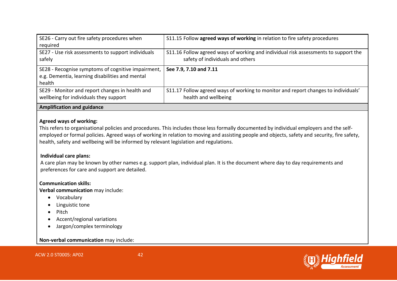| SE26 - Carry out fire safety procedures when<br>required                                                        | S11.15 Follow agreed ways of working in relation to fire safety procedures                                              |
|-----------------------------------------------------------------------------------------------------------------|-------------------------------------------------------------------------------------------------------------------------|
| SE27 - Use risk assessments to support individuals<br>safely                                                    | S11.16 Follow agreed ways of working and individual risk assessments to support the<br>safety of individuals and others |
| SE28 - Recognise symptoms of cognitive impairment,<br>e.g. Dementia, learning disabilities and mental<br>health | See 7.9, 7.10 and 7.11                                                                                                  |
| SE29 - Monitor and report changes in health and<br>wellbeing for individuals they support                       | S11.17 Follow agreed ways of working to monitor and report changes to individuals'<br>health and wellbeing              |
| <b>Amplification and guidance</b>                                                                               |                                                                                                                         |

### **Agreed ways of working:**

This refers to organisational policies and procedures. This includes those less formally documented by individual employers and the selfemployed or formal policies. Agreed ways of working in relation to moving and assisting people and objects, safety and security, fire safety, health, safety and wellbeing will be informed by relevant legislation and regulations.

### **Individual care plans:**

A care plan may be known by other names e.g. support plan, individual plan. It is the document where day to day requirements and preferences for care and support are detailed.

### **Communication skills:**

**Verbal communication** may include:

- Vocabulary
- Linguistic tone
- Pitch
- Accent/regional variations
- Jargon/complex terminology

### **Non-verbal communication** may include:

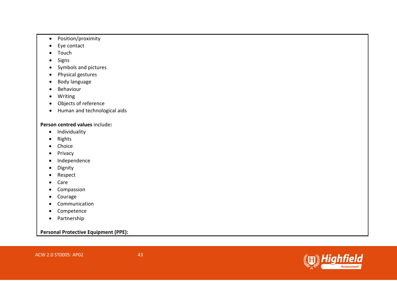- Position/proximity
- Eye contact
- Touch
- Signs
- Symbols and pictures
- Physical gestures
- Body language
- Behaviour
- Writing
- Objects of reference
- Human and technological aids

### **Person centred values** include**:**

- Individuality
- Rights
- Choice
- Privacy
- Independence
- Dignity
- Respect
- Care
- Compassion
- Courage
- Communication
- Competence
- Partnership

**Personal Protective Equipment (PPE):**

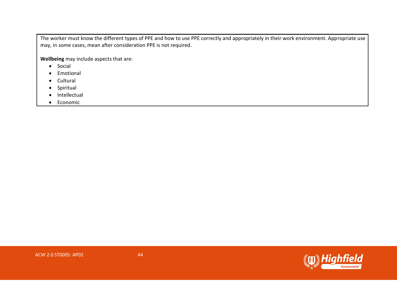The worker must know the different types of PPE and how to use PPE correctly and appropriately in their work environment. Appropriate use may, in some cases, mean after consideration PPE is not required.

**Wellbeing** may include aspects that are:

- Social
- Emotional
- Cultural
- Spiritual
- Intellectual
- Economic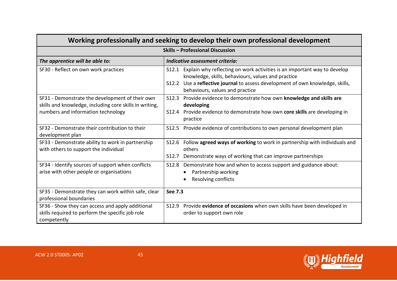| Working professionally and seeking to develop their own professional development                                                                 |                                                                                                                                                                                                                                                                 |  |  |
|--------------------------------------------------------------------------------------------------------------------------------------------------|-----------------------------------------------------------------------------------------------------------------------------------------------------------------------------------------------------------------------------------------------------------------|--|--|
| Skills - Professional Discussion                                                                                                                 |                                                                                                                                                                                                                                                                 |  |  |
| The apprentice will be able to:                                                                                                                  | Indicative assessment criteria:                                                                                                                                                                                                                                 |  |  |
| SF30 - Reflect on own work practices                                                                                                             | Explain why reflecting on work activities is an important way to develop<br>S12.1<br>knowledge, skills, behaviours, values and practice<br>Use a reflective journal to assess development of own knowledge, skills,<br>S12.2<br>behaviours, values and practice |  |  |
| SF31 - Demonstrate the development of their own<br>skills and knowledge, including core skills in writing,<br>numbers and information technology | S12.3<br>Provide evidence to demonstrate how own knowledge and skills are<br>developing<br>Provide evidence to demonstrate how own core skills are developing in<br>S12.4<br>practice                                                                           |  |  |
| SF32 - Demonstrate their contribution to their<br>development plan                                                                               | S12.5 Provide evidence of contributions to own personal development plan                                                                                                                                                                                        |  |  |
| SF33 - Demonstrate ability to work in partnership<br>with others to support the individual                                                       | S12.6 Follow agreed ways of working to work in partnership with individuals and<br>others<br>Demonstrate ways of working that can improve partnerships<br>S12.7                                                                                                 |  |  |
| SF34 - Identify sources of support when conflicts<br>arise with other people or organisations                                                    | Demonstrate how and when to access support and guidance about:<br>S12.8<br>Partnership working<br>Resolving conflicts                                                                                                                                           |  |  |
| SF35 - Demonstrate they can work within safe, clear<br>professional boundaries                                                                   | See 7.3                                                                                                                                                                                                                                                         |  |  |
| SF36 - Show they can access and apply additional<br>skills required to perform the specific job role<br>competently                              | Provide evidence of occasions when own skills have been developed in<br>S12.9<br>order to support own role                                                                                                                                                      |  |  |

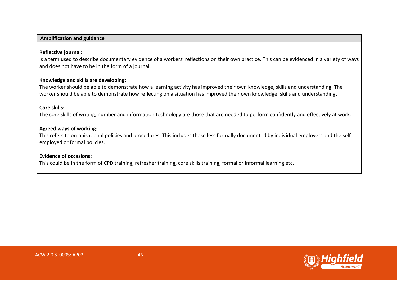#### **Amplification and guidance**

#### **Reflective journal:**

Is a term used to describe documentary evidence of a workers' reflections on their own practice. This can be evidenced in a variety of ways and does not have to be in the form of a journal.

### **Knowledge and skills are developing:**

The worker should be able to demonstrate how a learning activity has improved their own knowledge, skills and understanding. The worker should be able to demonstrate how reflecting on a situation has improved their own knowledge, skills and understanding.

#### **Core skills:**

The core skills of writing, number and information technology are those that are needed to perform confidently and effectively at work.

#### **Agreed ways of working:**

This refers to organisational policies and procedures. This includes those less formally documented by individual employers and the selfemployed or formal policies.

#### **Evidence of occasions:**

This could be in the form of CPD training, refresher training, core skills training, formal or informal learning etc.

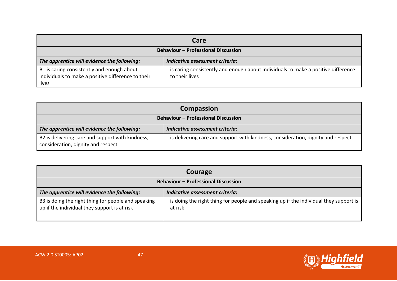| Care                                                                                                      |                                                                                                     |  |
|-----------------------------------------------------------------------------------------------------------|-----------------------------------------------------------------------------------------------------|--|
| <b>Behaviour - Professional Discussion</b>                                                                |                                                                                                     |  |
| The apprentice will evidence the following:<br>Indicative assessment criteria:                            |                                                                                                     |  |
| B1 is caring consistently and enough about<br>individuals to make a positive difference to their<br>lives | is caring consistently and enough about individuals to make a positive difference<br>to their lives |  |

| <b>Compassion</b>                                                                      |                                                                                  |  |
|----------------------------------------------------------------------------------------|----------------------------------------------------------------------------------|--|
| <b>Behaviour - Professional Discussion</b>                                             |                                                                                  |  |
| The apprentice will evidence the following:                                            | Indicative assessment criteria:                                                  |  |
| B2 is delivering care and support with kindness,<br>consideration, dignity and respect | is delivering care and support with kindness, consideration, dignity and respect |  |

| Courage                                                                                             |                                                                                                  |  |
|-----------------------------------------------------------------------------------------------------|--------------------------------------------------------------------------------------------------|--|
| <b>Behaviour - Professional Discussion</b>                                                          |                                                                                                  |  |
| The apprentice will evidence the following:                                                         | Indicative assessment criteria:                                                                  |  |
| B3 is doing the right thing for people and speaking<br>up if the individual they support is at risk | is doing the right thing for people and speaking up if the individual they support is<br>at risk |  |

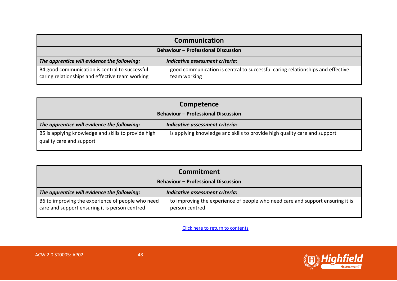| <b>Communication</b>                                                                              |                                                                                                |  |
|---------------------------------------------------------------------------------------------------|------------------------------------------------------------------------------------------------|--|
| <b>Behaviour - Professional Discussion</b>                                                        |                                                                                                |  |
| The apprentice will evidence the following:                                                       | Indicative assessment criteria:                                                                |  |
| B4 good communication is central to successful<br>caring relationships and effective team working | good communication is central to successful caring relationships and effective<br>team working |  |

| Competence                                                                      |                                                                           |  |
|---------------------------------------------------------------------------------|---------------------------------------------------------------------------|--|
| <b>Behaviour - Professional Discussion</b>                                      |                                                                           |  |
| The apprentice will evidence the following:<br>Indicative assessment criteria:  |                                                                           |  |
| B5 is applying knowledge and skills to provide high<br>quality care and support | is applying knowledge and skills to provide high quality care and support |  |

| Commitment                                                                                          |                                                                                                  |  |
|-----------------------------------------------------------------------------------------------------|--------------------------------------------------------------------------------------------------|--|
| <b>Behaviour - Professional Discussion</b>                                                          |                                                                                                  |  |
| The apprentice will evidence the following:                                                         | Indicative assessment criteria:                                                                  |  |
| B6 to improving the experience of people who need<br>care and support ensuring it is person centred | to improving the experience of people who need care and support ensuring it is<br>person centred |  |

[Click here to return to contents](#page-0-0)

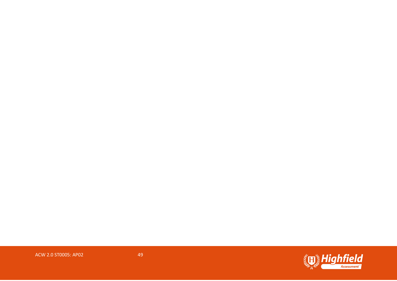ACW 2.0 ST0005: AP02 49

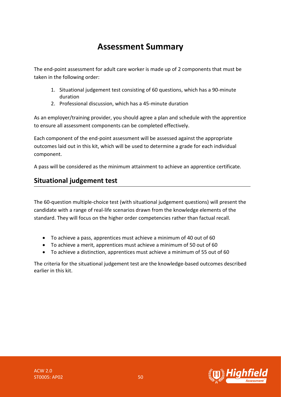# **Assessment Summary**

The end-point assessment for adult care worker is made up of 2 components that must be taken in the following order:

- 1. Situational judgement test consisting of 60 questions, which has a 90-minute duration
- 2. Professional discussion, which has a 45-minute duration

As an employer/training provider, you should agree a plan and schedule with the apprentice to ensure all assessment components can be completed effectively.

Each component of the end-point assessment will be assessed against the appropriate outcomes laid out in this kit, which will be used to determine a grade for each individual component.

A pass will be considered as the minimum attainment to achieve an apprentice certificate.

# **Situational judgement test**

The 60-question multiple-choice test (with situational judgement questions) will present the candidate with a range of real-life scenarios drawn from the knowledge elements of the standard. They will focus on the higher order competencies rather than factual recall.

- To achieve a pass, apprentices must achieve a minimum of 40 out of 60
- To achieve a merit, apprentices must achieve a minimum of 50 out of 60
- To achieve a distinction, apprentices must achieve a minimum of 55 out of 60

The criteria for the situational judgement test are the knowledge-based outcomes described earlier in this kit.

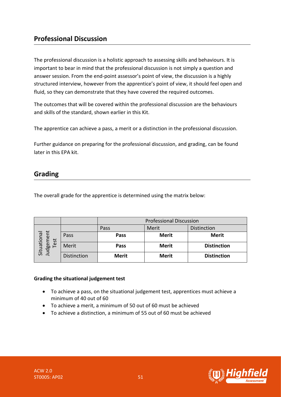# **Professional Discussion**

The professional discussion is a holistic approach to assessing skills and behaviours. It is important to bear in mind that the professional discussion is not simply a question and answer session. From the end-point assessor's point of view, the discussion is a highly structured interview, however from the apprentice's point of view, it should feel open and fluid, so they can demonstrate that they have covered the required outcomes.

The outcomes that will be covered within the professional discussion are the behaviours and skills of the standard, shown earlier in this Kit.

The apprentice can achieve a pass, a merit or a distinction in the professional discussion.

Further guidance on preparing for the professional discussion, and grading, can be found later in this EPA kit.

# **Grading**

The overall grade for the apprentice is determined using the matrix below:

|                                  |                    | <b>Professional Discussion</b> |              |                    |
|----------------------------------|--------------------|--------------------------------|--------------|--------------------|
|                                  |                    | Pass                           | Merit        | <b>Distinction</b> |
| Situationa<br>Φ<br>Judgem<br>est | Pass               | Pass                           | <b>Merit</b> | <b>Merit</b>       |
|                                  | Merit              | Pass                           | <b>Merit</b> | <b>Distinction</b> |
|                                  | <b>Distinction</b> | <b>Merit</b>                   | <b>Merit</b> | <b>Distinction</b> |

### **Grading the situational judgement test**

- To achieve a pass, on the situational judgement test, apprentices must achieve a minimum of 40 out of 60
- To achieve a merit, a minimum of 50 out of 60 must be achieved
- To achieve a distinction, a minimum of 55 out of 60 must be achieved

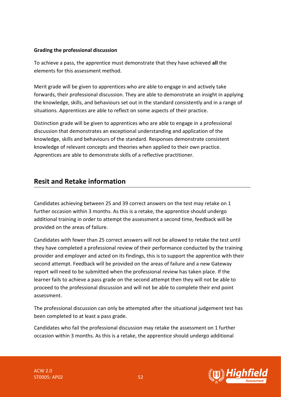### **Grading the professional discussion**

To achieve a pass, the apprentice must demonstrate that they have achieved **all** the elements for this assessment method.

Merit grade will be given to apprentices who are able to engage in and actively take forwards, their professional discussion. They are able to demonstrate an insight in applying the knowledge, skills, and behaviours set out in the standard consistently and in a range of situations. Apprentices are able to reflect on some aspects of their practice.

Distinction grade will be given to apprentices who are able to engage in a professional discussion that demonstrates an exceptional understanding and application of the knowledge, skills and behaviours of the standard. Responses demonstrate consistent knowledge of relevant concepts and theories when applied to their own practice. Apprentices are able to demonstrate skills of a reflective practitioner.

# **Resit and Retake information**

Candidates achieving between 25 and 39 correct answers on the test may retake on 1 further occasion within 3 months. As this is a retake, the apprentice should undergo additional training in order to attempt the assessment a second time, feedback will be provided on the areas of failure.

Candidates with fewer than 25 correct answers will not be allowed to retake the test until they have completed a professional review of their performance conducted by the training provider and employer and acted on its findings, this is to support the apprentice with their second attempt. Feedback will be provided on the areas of failure and a new Gateway report will need to be submitted when the professional review has taken place. If the learner fails to achieve a pass grade on the second attempt then they will not be able to proceed to the professional discussion and will not be able to complete their end point assessment.

The professional discussion can only be attempted after the situational judgement test has been completed to at least a pass grade.

Candidates who fail the professional discussion may retake the assessment on 1 further occasion within 3 months. As this is a retake, the apprentice should undergo additional

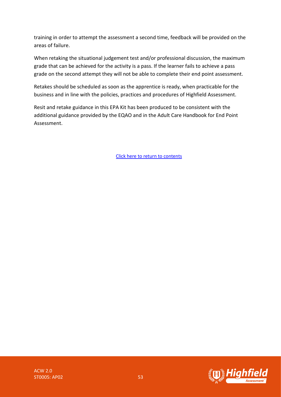training in order to attempt the assessment a second time, feedback will be provided on the areas of failure.

When retaking the situational judgement test and/or professional discussion, the maximum grade that can be achieved for the activity is a pass. If the learner fails to achieve a pass grade on the second attempt they will not be able to complete their end point assessment.

Retakes should be scheduled as soon as the apprentice is ready, when practicable for the business and in line with the policies, practices and procedures of Highfield Assessment.

Resit and retake guidance in this EPA Kit has been produced to be consistent with the additional guidance provided by the EQAO and in the Adult Care Handbook for End Point Assessment.

[Click here to return to contents](#page-0-1)

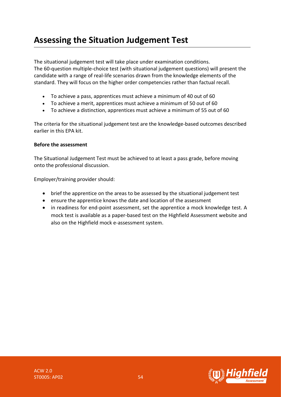# **Assessing the Situation Judgement Test**

The situational judgement test will take place under examination conditions. The 60-question multiple-choice test (with situational judgement questions) will present the candidate with a range of real-life scenarios drawn from the knowledge elements of the standard. They will focus on the higher order competencies rather than factual recall.

- To achieve a pass, apprentices must achieve a minimum of 40 out of 60
- To achieve a merit, apprentices must achieve a minimum of 50 out of 60
- To achieve a distinction, apprentices must achieve a minimum of 55 out of 60

The criteria for the situational judgement test are the knowledge-based outcomes described earlier in this EPA kit.

### **Before the assessment**

The Situational Judgement Test must be achieved to at least a pass grade, before moving onto the professional discussion.

Employer/training provider should:

- brief the apprentice on the areas to be assessed by the situational judgement test
- ensure the apprentice knows the date and location of the assessment
- in readiness for end-point assessment, set the apprentice a mock knowledge test. A mock test is available as a paper-based test on the Highfield Assessment website and also on the Highfield mock e-assessment system.



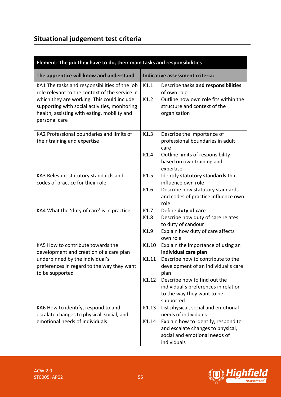# **Situational judgement test criteria**

| Element: The job they have to do, their main tasks and responsibilities                                                                                                                                                                                        |                                                                                                                                                                                                                                                      |  |
|----------------------------------------------------------------------------------------------------------------------------------------------------------------------------------------------------------------------------------------------------------------|------------------------------------------------------------------------------------------------------------------------------------------------------------------------------------------------------------------------------------------------------|--|
| The apprentice will know and understand                                                                                                                                                                                                                        | Indicative assessment criteria:                                                                                                                                                                                                                      |  |
| KA1 The tasks and responsibilities of the job<br>role relevant to the context of the service in<br>which they are working. This could include<br>supporting with social activities, monitoring<br>health, assisting with eating, mobility and<br>personal care | K1.1<br>Describe tasks and responsibilities<br>of own role<br>K1.2<br>Outline how own role fits within the<br>structure and context of the<br>organisation                                                                                           |  |
| KA2 Professional boundaries and limits of<br>their training and expertise                                                                                                                                                                                      | K1.3<br>Describe the importance of<br>professional boundaries in adult<br>care<br>K1.4<br>Outline limits of responsibility<br>based on own training and<br>expertise                                                                                 |  |
| KA3 Relevant statutory standards and<br>codes of practice for their role                                                                                                                                                                                       | K1.5<br>Identify statutory standards that<br>influence own role<br>K1.6<br>Describe how statutory standards<br>and codes of practice influence own<br>role                                                                                           |  |
| KA4 What the 'duty of care' is in practice                                                                                                                                                                                                                     | Define duty of care<br>K1.7<br>Describe how duty of care relates<br>K1.8<br>to duty of candour<br>Explain how duty of care affects<br>K1.9<br>own role                                                                                               |  |
| KA5 How to contribute towards the<br>development and creation of a care plan<br>underpinned by the individual's<br>preferences in regard to the way they want<br>to be supported                                                                               | K1.10<br>Explain the importance of using an<br>individual care plan<br>Describe how to contribute to the<br>K1.11<br>development of an individual's care<br>plan<br>K1.12<br>Describe how to find out the<br>individual's preferences in relation    |  |
| KA6 How to identify, respond to and<br>escalate changes to physical, social, and<br>emotional needs of individuals                                                                                                                                             | to the way they want to be<br>supported<br>List physical, social and emotional<br>K1.13<br>needs of individuals<br>Explain how to identify, respond to<br>K1.14<br>and escalate changes to physical,<br>social and emotional needs of<br>individuals |  |

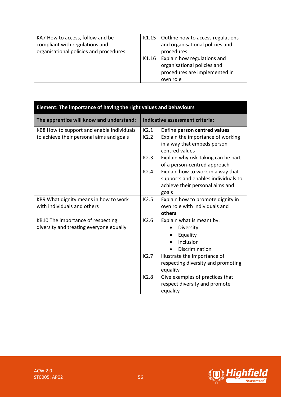| KA7 How to access, follow and be       |       | K1.15 Outline how to access regulations |
|----------------------------------------|-------|-----------------------------------------|
| compliant with regulations and         |       | and organisational policies and         |
| organisational policies and procedures |       | procedures                              |
|                                        | K1.16 | Explain how regulations and             |
|                                        |       | organisational policies and             |
|                                        |       | procedures are implemented in           |
|                                        |       | own role                                |

| Element: The importance of having the right values and behaviours    |      |                                                                                                                      |  |
|----------------------------------------------------------------------|------|----------------------------------------------------------------------------------------------------------------------|--|
| The apprentice will know and understand:                             |      | Indicative assessment criteria:                                                                                      |  |
| KB8 How to support and enable individuals                            | K2.1 | Define person centred values                                                                                         |  |
| to achieve their personal aims and goals                             | K2.2 | Explain the importance of working<br>in a way that embeds person<br>centred values                                   |  |
|                                                                      | K2.3 | Explain why risk-taking can be part<br>of a person-centred approach                                                  |  |
|                                                                      | K2.4 | Explain how to work in a way that<br>supports and enables individuals to<br>achieve their personal aims and<br>goals |  |
| KB9 What dignity means in how to work<br>with individuals and others | K2.5 | Explain how to promote dignity in<br>own role with individuals and<br>others                                         |  |
| KB10 The importance of respecting                                    | K2.6 | Explain what is meant by:                                                                                            |  |
| diversity and treating everyone equally                              |      | Diversity                                                                                                            |  |
|                                                                      |      | Equality                                                                                                             |  |
|                                                                      |      | Inclusion                                                                                                            |  |
|                                                                      |      | Discrimination                                                                                                       |  |
|                                                                      | K2.7 | Illustrate the importance of<br>respecting diversity and promoting<br>equality                                       |  |
|                                                                      | K2.8 | Give examples of practices that<br>respect diversity and promote<br>equality                                         |  |

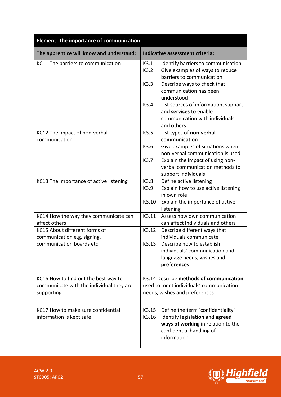| <b>Element: The importance of communication</b>                                                |                                                                                                                                                                         |  |
|------------------------------------------------------------------------------------------------|-------------------------------------------------------------------------------------------------------------------------------------------------------------------------|--|
| The apprentice will know and understand:                                                       | Indicative assessment criteria:                                                                                                                                         |  |
| KC11 The barriers to communication                                                             | K3.1<br>Identify barriers to communication<br>K3.2<br>Give examples of ways to reduce<br>barriers to communication                                                      |  |
|                                                                                                | K3.3<br>Describe ways to check that<br>communication has been<br>understood                                                                                             |  |
|                                                                                                | K3.4<br>List sources of information, support<br>and services to enable                                                                                                  |  |
|                                                                                                | communication with individuals<br>and others                                                                                                                            |  |
| KC12 The impact of non-verbal<br>communication                                                 | K3.5<br>List types of non-verbal<br>communication                                                                                                                       |  |
|                                                                                                | Give examples of situations when<br>K3.6<br>non-verbal communication is used                                                                                            |  |
|                                                                                                | K3.7<br>Explain the impact of using non-<br>verbal communication methods to<br>support individuals                                                                      |  |
| KC13 The importance of active listening                                                        | K3.8<br>Define active listening                                                                                                                                         |  |
|                                                                                                | K3.9<br>Explain how to use active listening<br>in own role                                                                                                              |  |
|                                                                                                | K3.10<br>Explain the importance of active<br>listening                                                                                                                  |  |
| KC14 How the way they communicate can<br>affect others                                         | K3.11<br>Assess how own communication<br>can affect individuals and others                                                                                              |  |
| KC15 About different forms of<br>communication e.g. signing,                                   | K3.12<br>Describe different ways that<br>individuals communicate                                                                                                        |  |
| communication boards etc                                                                       | K3.13<br>Describe how to establish<br>individuals' communication and<br>language needs, wishes and                                                                      |  |
|                                                                                                | preferences                                                                                                                                                             |  |
| KC16 How to find out the best way to<br>communicate with the individual they are<br>supporting | K3.14 Describe methods of communication<br>used to meet individuals' communication<br>needs, wishes and preferences                                                     |  |
| KC17 How to make sure confidential<br>information is kept safe                                 | K3.15<br>Define the term 'confidentiality'<br>K3.16<br>Identify legislation and agreed<br>ways of working in relation to the<br>confidential handling of<br>information |  |

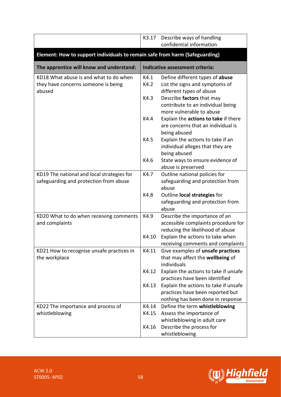|                                                                                         | K3.17                | Describe ways of handling<br>confidential information                                                                                       |
|-----------------------------------------------------------------------------------------|----------------------|---------------------------------------------------------------------------------------------------------------------------------------------|
| Element: How to support individuals to remain safe from harm (Safeguarding)             |                      |                                                                                                                                             |
| The apprentice will know and understand:                                                |                      | Indicative assessment criteria:                                                                                                             |
| KD18 What abuse is and what to do when<br>they have concerns someone is being<br>abused | K4.1<br>K4.2<br>K4.3 | Define different types of abuse<br>List the signs and symptoms of<br>different types of abuse<br>Describe factors that may                  |
|                                                                                         | K4.4                 | contribute to an individual being<br>more vulnerable to abuse<br>Explain the actions to take if there<br>are concerns that an individual is |
|                                                                                         | K4.5                 | being abused<br>Explain the actions to take if an<br>individual alleges that they are                                                       |
|                                                                                         | K4.6                 | being abused<br>State ways to ensure evidence of<br>abuse is preserved                                                                      |
| KD19 The national and local strategies for<br>safeguarding and protection from abuse    | K4.7                 | Outline national policies for<br>safeguarding and protection from<br>abuse                                                                  |
|                                                                                         | K4.8                 | Outline local strategies for<br>safeguarding and protection from<br>abuse                                                                   |
| KD20 What to do when receiving comments<br>and complaints                               | K4.9                 | Describe the importance of an<br>accessible complaints procedure for<br>reducing the likelihood of abuse                                    |
|                                                                                         | K4.10                | Explain the actions to take when<br>receiving comments and complaints                                                                       |
| KD21 How to recognise unsafe practices in<br>the workplace                              | K4.11                | Give examples of unsafe practices<br>that may affect the wellbeing of<br>individuals                                                        |
|                                                                                         | K4.12                | Explain the actions to take if unsafe<br>practices have been identified                                                                     |
|                                                                                         | K4.13                | Explain the actions to take if unsafe<br>practices have been reported but<br>nothing has been done in response                              |
| KD22 The importance and process of                                                      | K4.14                | Define the term whistleblowing                                                                                                              |
| whistleblowing                                                                          | K4.15                | Assess the importance of                                                                                                                    |
|                                                                                         | K4.16                | whistleblowing in adult care<br>Describe the process for<br>whistleblowing                                                                  |

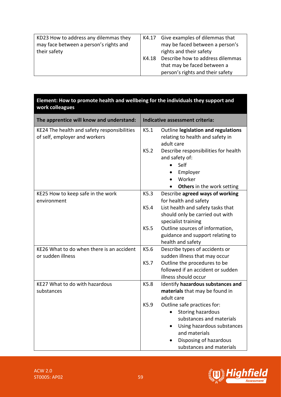| KD23 How to address any dilemmas they<br>may face between a person's rights and | K4.17 | Give examples of dilemmas that<br>may be faced between a person's |
|---------------------------------------------------------------------------------|-------|-------------------------------------------------------------------|
| their safety                                                                    |       | rights and their safety                                           |
|                                                                                 | K4.18 | Describe how to address dilemmas                                  |
|                                                                                 |       | that may be faced between a                                       |
|                                                                                 |       | person's rights and their safety                                  |

| Element: How to promote health and wellbeing for the individuals they support and<br>work colleagues |                                                                                                                                                                                           |
|------------------------------------------------------------------------------------------------------|-------------------------------------------------------------------------------------------------------------------------------------------------------------------------------------------|
| The apprentice will know and understand:                                                             | Indicative assessment criteria:                                                                                                                                                           |
| KE24 The health and safety responsibilities<br>of self, employer and workers                         | Outline legislation and regulations<br>K5.1<br>relating to health and safety in<br>adult care<br>K5.2<br>Describe responsibilities for health<br>and safety of:                           |
|                                                                                                      | Self<br>$\bullet$                                                                                                                                                                         |
|                                                                                                      | Employer<br>Worker                                                                                                                                                                        |
|                                                                                                      | $\bullet$<br>Others in the work setting                                                                                                                                                   |
| KE25 How to keep safe in the work<br>environment                                                     | K5.3<br>Describe agreed ways of working<br>for health and safety                                                                                                                          |
|                                                                                                      | List health and safety tasks that<br>K5.4<br>should only be carried out with<br>specialist training                                                                                       |
|                                                                                                      | Outline sources of information,<br>K5.5<br>guidance and support relating to<br>health and safety                                                                                          |
| KE26 What to do when there is an accident<br>or sudden illness                                       | K5.6<br>Describe types of accidents or<br>sudden illness that may occur                                                                                                                   |
|                                                                                                      | Outline the procedures to be<br>K5.7<br>followed if an accident or sudden<br>illness should occur                                                                                         |
| KE27 What to do with hazardous<br>substances                                                         | K5.8<br>Identify hazardous substances and<br>materials that may be found in<br>adult care                                                                                                 |
|                                                                                                      | K5.9<br>Outline safe practices for:<br>Storing hazardous<br>substances and materials<br>Using hazardous substances<br>and materials<br>Disposing of hazardous<br>substances and materials |

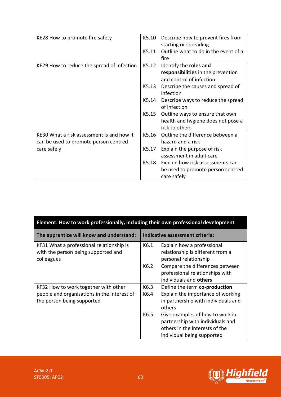| KE28 How to promote fire safety            | K5.10 | Describe how to prevent fires from<br>starting or spreading                              |
|--------------------------------------------|-------|------------------------------------------------------------------------------------------|
|                                            | K5.11 | Outline what to do in the event of a<br>fire                                             |
|                                            |       |                                                                                          |
| KE29 How to reduce the spread of infection | K5.12 | Identify the roles and<br>responsibilities in the prevention<br>and control of infection |
|                                            | K5.13 | Describe the causes and spread of<br>infection                                           |
|                                            | K5.14 | Describe ways to reduce the spread<br>of infection                                       |
|                                            | K5.15 | Outline ways to ensure that own                                                          |
|                                            |       | health and hygiene does not pose a<br>risk to others                                     |
| KE30 What a risk assessment is and how it  | K5.16 | Outline the difference between a                                                         |
| can be used to promote person centred      |       | hazard and a risk                                                                        |
| care safely                                | K5.17 | Explain the purpose of risk                                                              |
|                                            |       | assessment in adult care                                                                 |
|                                            | K5.18 | Explain how risk assessments can                                                         |
|                                            |       | be used to promote person centred<br>care safely                                         |

| Element: How to work professionally, including their own professional development             |                                                                                                                                             |  |
|-----------------------------------------------------------------------------------------------|---------------------------------------------------------------------------------------------------------------------------------------------|--|
| The apprentice will know and understand:                                                      | Indicative assessment criteria:                                                                                                             |  |
| KF31 What a professional relationship is<br>with the person being supported and<br>colleagues | K6.1<br>Explain how a professional<br>relationship is different from a<br>personal relationship                                             |  |
|                                                                                               | K6.2<br>Compare the differences between<br>professional relationships with<br>individuals and others                                        |  |
| KF32 How to work together with other                                                          | K6.3<br>Define the term co-production                                                                                                       |  |
| people and organisations in the interest of<br>the person being supported                     | K6.4<br>Explain the importance of working<br>in partnership with individuals and<br>others                                                  |  |
|                                                                                               | K6.5<br>Give examples of how to work in<br>partnership with individuals and<br>others in the interests of the<br>individual being supported |  |

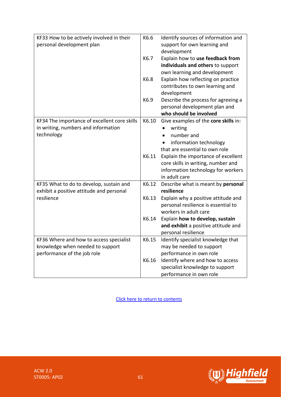| KF33 How to be actively involved in their    | K6.6  | Identify sources of information and  |
|----------------------------------------------|-------|--------------------------------------|
| personal development plan                    |       | support for own learning and         |
|                                              |       | development                          |
|                                              | K6.7  | Explain how to use feedback from     |
|                                              |       | individuals and others to support    |
|                                              |       | own learning and development         |
|                                              | K6.8  | Explain how reflecting on practice   |
|                                              |       | contributes to own learning and      |
|                                              |       | development                          |
|                                              | K6.9  | Describe the process for agreeing a  |
|                                              |       | personal development plan and        |
|                                              |       | who should be involved               |
| KF34 The importance of excellent core skills | K6.10 | Give examples of the core skills in: |
| in writing, numbers and information          |       | writing                              |
| technology                                   |       | number and                           |
|                                              |       | information technology               |
|                                              |       | that are essential to own role       |
|                                              | K6.11 | Explain the importance of excellent  |
|                                              |       | core skills in writing, number and   |
|                                              |       | information technology for workers   |
|                                              |       | in adult care                        |
| KF35 What to do to develop, sustain and      | K6.12 | Describe what is meant by personal   |
| exhibit a positive attitude and personal     |       | resilience                           |
| resilience                                   | K6.13 | Explain why a positive attitude and  |
|                                              |       | personal resilience is essential to  |
|                                              |       | workers in adult care                |
|                                              | K6.14 | Explain how to develop, sustain      |
|                                              |       | and exhibit a positive attitude and  |
|                                              |       | personal resilience                  |
| KF36 Where and how to access specialist      | K6.15 | Identify specialist knowledge that   |
| knowledge when needed to support             |       | may be needed to support             |
| performance of the job role                  |       | performance in own role              |
|                                              | K6.16 | Identify where and how to access     |
|                                              |       | specialist knowledge to support      |
|                                              |       | performance in own role              |

[Click here to return to contents](#page-0-1)



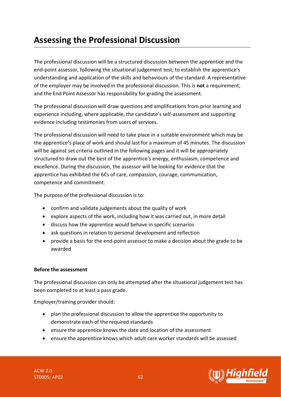# **Assessing the Professional Discussion**

The professional discussion will be a structured discussion between the apprentice and the end-point assessor, following the situational judgement test, to establish the apprentice's understanding and application of the skills and behaviours of the standard. A representative of the employer may be involved in the professional discussion. This is **not** a requirement, and the End Point Assessor has responsibility for grading the assessment.

The professional discussion will draw questions and amplifications from prior learning and experience including, where applicable, the candidate's self-assessment and supporting evidence including testimonies from users of services.

The professional discussion will need to take place in a suitable environment which may be the apprentice's place of work and should last for a maximum of 45 minutes. The discussion will be against set criteria outlined in the following pages and it will be appropriately structured to draw out the best of the apprentice's energy, enthusiasm, competence and excellence. During the discussion, the assessor will be looking for evidence that the apprentice has exhibited the 6Cs of care, compassion, courage, communication, competence and commitment.

The purpose of the professional discussion is to:

- confirm and validate judgements about the quality of work
- explore aspects of the work, including how it was carried out, in more detail
- discuss how the apprentice would behave in specific scenarios
- ask questions in relation to personal development and reflection
- provide a basis for the end-point assessor to make a decision about the grade to be awarded

### **Before the assessment**

The professional discussion can only be attempted after the situational judgement test has been completed to at least a pass grade.

Employer/training provider should:

- plan the professional discussion to allow the apprentice the opportunity to demonstrate each of the required standards
- ensure the apprentice knows the date and location of the assessment
- ensure the apprentice knows which adult care worker standards will be assessed

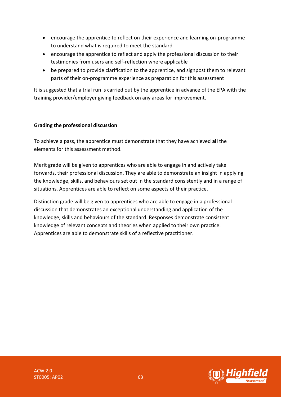- encourage the apprentice to reflect on their experience and learning on-programme to understand what is required to meet the standard
- encourage the apprentice to reflect and apply the professional discussion to their testimonies from users and self-reflection where applicable
- be prepared to provide clarification to the apprentice, and signpost them to relevant parts of their on-programme experience as preparation for this assessment

It is suggested that a trial run is carried out by the apprentice in advance of the EPA with the training provider/employer giving feedback on any areas for improvement.

### **Grading the professional discussion**

To achieve a pass, the apprentice must demonstrate that they have achieved **all** the elements for this assessment method.

Merit grade will be given to apprentices who are able to engage in and actively take forwards, their professional discussion. They are able to demonstrate an insight in applying the knowledge, skills, and behaviours set out in the standard consistently and in a range of situations. Apprentices are able to reflect on some aspects of their practice.

Distinction grade will be given to apprentices who are able to engage in a professional discussion that demonstrates an exceptional understanding and application of the knowledge, skills and behaviours of the standard. Responses demonstrate consistent knowledge of relevant concepts and theories when applied to their own practice. Apprentices are able to demonstrate skills of a reflective practitioner.

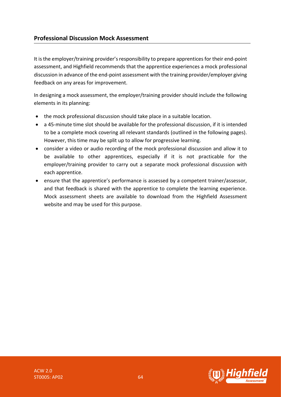## **Professional Discussion Mock Assessment**

It is the employer/training provider's responsibility to prepare apprentices for their end-point assessment, and Highfield recommends that the apprentice experiences a mock professional discussion in advance of the end-point assessment with the training provider/employer giving feedback on any areas for improvement.

In designing a mock assessment, the employer/training provider should include the following elements in its planning:

- the mock professional discussion should take place in a suitable location.
- a 45-minute time slot should be available for the professional discussion, if it is intended to be a complete mock covering all relevant standards (outlined in the following pages). However, this time may be split up to allow for progressive learning.
- consider a video or audio recording of the mock professional discussion and allow it to be available to other apprentices, especially if it is not practicable for the employer/training provider to carry out a separate mock professional discussion with each apprentice.
- ensure that the apprentice's performance is assessed by a competent trainer/assessor, and that feedback is shared with the apprentice to complete the learning experience. Mock assessment sheets are available to download from the Highfield Assessment website and may be used for this purpose.

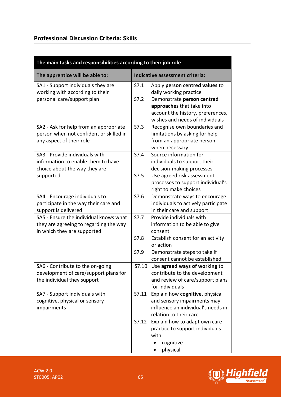# **Professional Discussion Criteria: Skills**

| The main tasks and responsibilities according to their job role |       |                                     |  |
|-----------------------------------------------------------------|-------|-------------------------------------|--|
| The apprentice will be able to:                                 |       | Indicative assessment criteria:     |  |
| SA1 - Support individuals they are                              | S7.1  | Apply person centred values to      |  |
| working with according to their                                 |       | daily working practice              |  |
| personal care/support plan                                      | S7.2  | Demonstrate person centred          |  |
|                                                                 |       | approaches that take into           |  |
|                                                                 |       | account the history, preferences,   |  |
|                                                                 |       | wishes and needs of individuals     |  |
| SA2 - Ask for help from an appropriate                          | S7.3  | Recognise own boundaries and        |  |
| person when not confident or skilled in                         |       | limitations by asking for help      |  |
| any aspect of their role                                        |       | from an appropriate person          |  |
|                                                                 |       | when necessary                      |  |
| SA3 - Provide individuals with                                  | S7.4  | Source information for              |  |
| information to enable them to have                              |       | individuals to support their        |  |
| choice about the way they are                                   |       | decision-making processes           |  |
| supported                                                       | S7.5  | Use agreed risk assessment          |  |
|                                                                 |       | processes to support individual's   |  |
|                                                                 |       | right to make choices               |  |
| SA4 - Encourage individuals to                                  | S7.6  | Demonstrate ways to encourage       |  |
| participate in the way their care and                           |       | individuals to actively participate |  |
| support is delivered                                            |       | in their care and support           |  |
| SA5 - Ensure the individual knows what                          | S7.7  | Provide individuals with            |  |
| they are agreeing to regarding the way                          |       | information to be able to give      |  |
| in which they are supported                                     |       | consent                             |  |
|                                                                 | S7.8  | Establish consent for an activity   |  |
|                                                                 |       | or action                           |  |
|                                                                 | S7.9  | Demonstrate steps to take if        |  |
|                                                                 |       | consent cannot be established       |  |
| SA6 - Contribute to the on-going                                | S7.10 | Use agreed ways of working to       |  |
| development of care/support plans for                           |       | contribute to the development       |  |
| the individual they support                                     |       | and review of care/support plans    |  |
|                                                                 |       | for individuals                     |  |
| SA7 - Support individuals with                                  | S7.11 | Explain how cognitive, physical     |  |
| cognitive, physical or sensory                                  |       | and sensory impairments may         |  |
| impairments                                                     |       | influence an individual's needs in  |  |
|                                                                 |       | relation to their care              |  |
|                                                                 | S7.12 | Explain how to adapt own care       |  |
|                                                                 |       | practice to support individuals     |  |
|                                                                 |       | with                                |  |
|                                                                 |       | cognitive                           |  |
|                                                                 |       | physical                            |  |

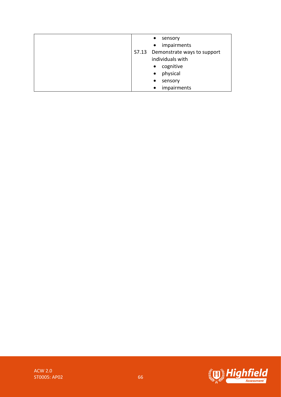| sensory<br>$\bullet$<br>impairments<br>$\bullet$<br>S7.13 Demonstrate ways to support<br>individuals with<br>cognitive<br>$\bullet$<br>physical<br>$\bullet$<br>sensory<br>$\bullet$ |
|--------------------------------------------------------------------------------------------------------------------------------------------------------------------------------------|
| impairments<br>$\bullet$                                                                                                                                                             |

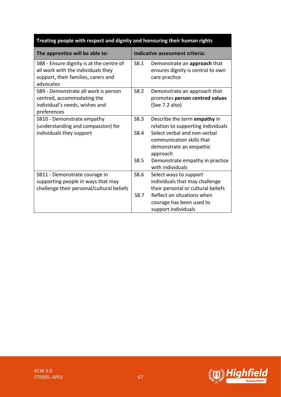| Treating people with respect and dignity and honouring their human rights                                                          |      |                                                                                                  |
|------------------------------------------------------------------------------------------------------------------------------------|------|--------------------------------------------------------------------------------------------------|
| The apprentice will be able to:                                                                                                    |      | Indicative assessment criteria:                                                                  |
| SB8 - Ensure dignity is at the centre of<br>all work with the individuals they<br>support, their families, carers and<br>advocates | S8.1 | Demonstrate an approach that<br>ensures dignity is central to own<br>care practice               |
| SB9 - Demonstrate all work is person<br>centred, accommodating the<br>individual's needs, wishes and<br>preferences                | S8.2 | Demonstrate an approach that<br>promotes person centred values<br>(See 7.2 also)                 |
| SB10 - Demonstrate empathy<br>(understanding and compassion) for                                                                   | S8.3 | Describe the term empathy in<br>relation to supporting individuals                               |
| individuals they support                                                                                                           | S8.4 | Select verbal and non-verbal<br>communication skills that<br>demonstrate an empathic<br>approach |
|                                                                                                                                    | S8.5 | Demonstrate empathy in practice<br>with individuals                                              |
| SB11 - Demonstrate courage in<br>supporting people in ways that may<br>challenge their personal/cultural beliefs                   | S8.6 | Select ways to support<br>individuals that may challenge<br>their personal or cultural beliefs   |
|                                                                                                                                    | S8.7 | Reflect on situations when<br>courage has been used to<br>support individuals                    |

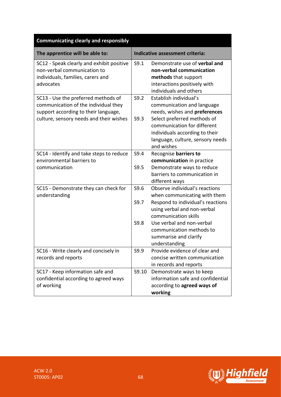| <b>Communicating clearly and responsibly</b> |  |
|----------------------------------------------|--|
|----------------------------------------------|--|

| The apprentice will be able to:                                                                                            |       | Indicative assessment criteria:                                                                                                                |
|----------------------------------------------------------------------------------------------------------------------------|-------|------------------------------------------------------------------------------------------------------------------------------------------------|
| SC12 - Speak clearly and exhibit positive<br>non-verbal communication to<br>individuals, families, carers and<br>advocates | S9.1  | Demonstrate use of verbal and<br>non-verbal communication<br>methods that support<br>interactions positively with<br>individuals and others    |
| SC13 - Use the preferred methods of<br>communication of the individual they<br>support according to their language,        | S9.2  | Establish individual's<br>communication and language<br>needs, wishes and preferences                                                          |
| culture, sensory needs and their wishes                                                                                    | S9.3  | Select preferred methods of<br>communication for different<br>individuals according to their<br>language, culture, sensory needs<br>and wishes |
| SC14 - Identify and take steps to reduce                                                                                   | S9.4  | Recognise barriers to                                                                                                                          |
| environmental barriers to                                                                                                  |       | communication in practice                                                                                                                      |
| communication                                                                                                              | S9.5  | Demonstrate ways to reduce                                                                                                                     |
|                                                                                                                            |       | barriers to communication in                                                                                                                   |
|                                                                                                                            |       | different ways                                                                                                                                 |
| SC15 - Demonstrate they can check for<br>understanding                                                                     | S9.6  | Observe individual's reactions<br>when communicating with them                                                                                 |
|                                                                                                                            | S9.7  | Respond to individual's reactions<br>using verbal and non-verbal<br>communication skills                                                       |
|                                                                                                                            | S9.8  | Use verbal and non-verbal<br>communication methods to<br>summarise and clarify<br>understanding                                                |
| SC16 - Write clearly and concisely in                                                                                      | S9.9  | Provide evidence of clear and                                                                                                                  |
| records and reports                                                                                                        |       | concise written communication                                                                                                                  |
|                                                                                                                            |       | in records and reports                                                                                                                         |
| SC17 - Keep information safe and                                                                                           | S9.10 | Demonstrate ways to keep                                                                                                                       |
| confidential according to agreed ways                                                                                      |       | information safe and confidential                                                                                                              |
| of working                                                                                                                 |       | according to agreed ways of                                                                                                                    |
|                                                                                                                            |       | working                                                                                                                                        |

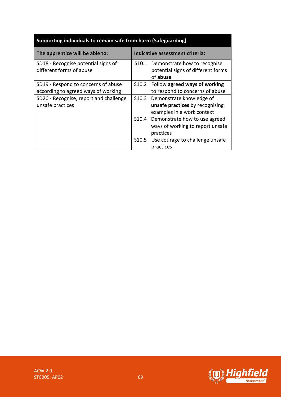| Supporting individuals to remain safe from harm (Safeguarding) |  |  |  |
|----------------------------------------------------------------|--|--|--|
|                                                                |  |  |  |
|                                                                |  |  |  |
|                                                                |  |  |  |

| The apprentice will be able to:                                 | Indicative assessment criteria:                                          |
|-----------------------------------------------------------------|--------------------------------------------------------------------------|
| SD18 - Recognise potential signs of<br>different forms of abuse | S10.1 Demonstrate how to recognise<br>potential signs of different forms |
|                                                                 | of abuse                                                                 |
| SD19 - Respond to concerns of abuse                             | S10.2 Follow agreed ways of working                                      |
| according to agreed ways of working                             | to respond to concerns of abuse                                          |
| SD20 - Recognise, report and challenge                          | S10.3 Demonstrate knowledge of                                           |
| unsafe practices                                                | unsafe practices by recognising<br>examples in a work context            |
|                                                                 |                                                                          |
|                                                                 | S10.4 Demonstrate how to use agreed<br>ways of working to report unsafe  |
|                                                                 | practices                                                                |
|                                                                 | S10.5 Use courage to challenge unsafe                                    |
|                                                                 | practices                                                                |

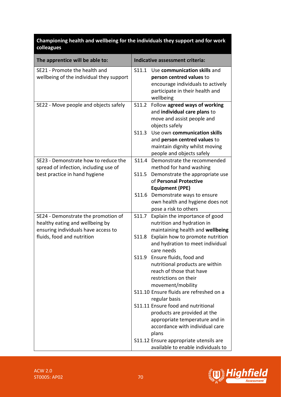## **Championing health and wellbeing for the individuals they support and for work colleagues**

| The apprentice will be able to:          |       | Indicative assessment criteria:                           |
|------------------------------------------|-------|-----------------------------------------------------------|
| SE21 - Promote the health and            | S11.1 | Use communication skills and                              |
| wellbeing of the individual they support |       | person centred values to                                  |
|                                          |       | encourage individuals to actively                         |
|                                          |       | participate in their health and                           |
|                                          |       | wellbeing                                                 |
| SE22 - Move people and objects safely    | S11.2 | Follow agreed ways of working                             |
|                                          |       | and individual care plans to                              |
|                                          |       | move and assist people and                                |
|                                          |       | objects safely                                            |
|                                          | S11.3 | Use own communication skills                              |
|                                          |       | and person centred values to                              |
|                                          |       | maintain dignity whilst moving                            |
|                                          |       | people and objects safely                                 |
| SE23 - Demonstrate how to reduce the     | S11.4 | Demonstrate the recommended                               |
| spread of infection, including use of    |       | method for hand washing                                   |
| best practice in hand hygiene            | S11.5 | Demonstrate the appropriate use<br>of Personal Protective |
|                                          |       | <b>Equipment (PPE)</b>                                    |
|                                          | S11.6 | Demonstrate ways to ensure                                |
|                                          |       | own health and hygiene does not                           |
|                                          |       | pose a risk to others                                     |
| SE24 - Demonstrate the promotion of      | S11.7 | Explain the importance of good                            |
| healthy eating and wellbeing by          |       | nutrition and hydration in                                |
| ensuring individuals have access to      |       | maintaining health and wellbeing                          |
| fluids, food and nutrition               | S11.8 | Explain how to promote nutrition                          |
|                                          |       | and hydration to meet individual                          |
|                                          |       | care needs                                                |
|                                          |       | S11.9 Ensure fluids, food and                             |
|                                          |       | nutritional products are within                           |
|                                          |       | reach of those that have                                  |
|                                          |       | restrictions on their                                     |
|                                          |       | movement/mobility                                         |
|                                          |       | S11.10 Ensure fluids are refreshed on a                   |
|                                          |       | regular basis                                             |
|                                          |       | S11.11 Ensure food and nutritional                        |
|                                          |       | products are provided at the                              |
|                                          |       | appropriate temperature and in                            |
|                                          |       | accordance with individual care                           |
|                                          |       | plans<br>S11.12 Ensure appropriate utensils are           |
|                                          |       | available to enable individuals to                        |

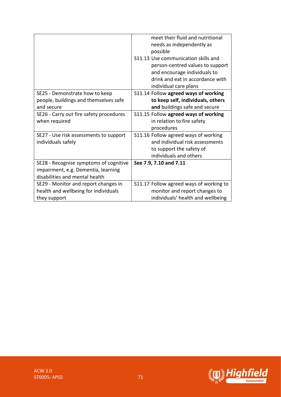|                                                                                                                 | meet their fluid and nutritional<br>needs as independently as<br>possible<br>S11.13 Use communication skills and<br>person-centred values to support<br>and encourage individuals to<br>drink and eat in accordance with<br>individual care plans |
|-----------------------------------------------------------------------------------------------------------------|---------------------------------------------------------------------------------------------------------------------------------------------------------------------------------------------------------------------------------------------------|
| SE25 - Demonstrate how to keep<br>people, buildings and themselves safe<br>and secure                           | S11.14 Follow agreed ways of working<br>to keep self, individuals, others<br>and buildings safe and secure                                                                                                                                        |
| SE26 - Carry out fire safety procedures<br>when required                                                        | S11.15 Follow agreed ways of working<br>in relation to fire safety<br>procedures                                                                                                                                                                  |
| SE27 - Use risk assessments to support<br>individuals safely                                                    | S11.16 Follow agreed ways of working<br>and individual risk assessments<br>to support the safety of<br>individuals and others                                                                                                                     |
| SE28 - Recognise symptoms of cognitive<br>impairment, e.g. Dementia, learning<br>disabilities and mental health | See 7.9, 7.10 and 7.11                                                                                                                                                                                                                            |
| SE29 - Monitor and report changes in<br>health and wellbeing for individuals<br>they support                    | S11.17 Follow agreed ways of working to<br>monitor and report changes to<br>individuals' health and wellbeing                                                                                                                                     |

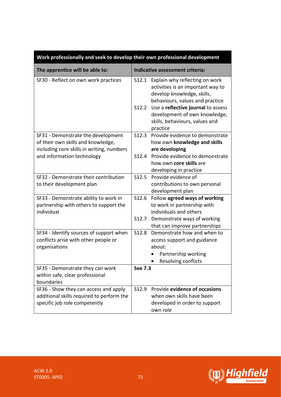| Work professionally and seek to develop their own professional development      |         |                                                                                                                                      |
|---------------------------------------------------------------------------------|---------|--------------------------------------------------------------------------------------------------------------------------------------|
| The apprentice will be able to:                                                 |         | Indicative assessment criteria:                                                                                                      |
| SF30 - Reflect on own work practices                                            | S12.1   | Explain why reflecting on work<br>activities is an important way to<br>develop knowledge, skills,<br>behaviours, values and practice |
|                                                                                 | S12.2   | Use a reflective journal to assess<br>development of own knowledge,<br>skills, behaviours, values and<br>practice                    |
| SF31 - Demonstrate the development                                              | S12.3   | Provide evidence to demonstrate                                                                                                      |
| of their own skills and knowledge,                                              |         | how own knowledge and skills                                                                                                         |
| including core skills in writing, numbers                                       |         | are developing                                                                                                                       |
| and information technology                                                      | S12.4   | Provide evidence to demonstrate                                                                                                      |
|                                                                                 |         | how own core skills are                                                                                                              |
|                                                                                 |         | developing in practice                                                                                                               |
| SF32 - Demonstrate their contribution                                           | S12.5   | Provide evidence of                                                                                                                  |
| to their development plan                                                       |         | contributions to own personal                                                                                                        |
|                                                                                 |         | development plan                                                                                                                     |
| SF33 - Demonstrate ability to work in                                           | S12.6   | Follow agreed ways of working                                                                                                        |
| partnership with others to support the<br>individual                            |         | to work in partnership with<br>individuals and others                                                                                |
|                                                                                 |         |                                                                                                                                      |
|                                                                                 | S12.7   | Demonstrate ways of working                                                                                                          |
|                                                                                 | S12.8   | that can improve partnerships<br>Demonstrate how and when to                                                                         |
| SF34 - Identify sources of support when<br>conflicts arise with other people or |         |                                                                                                                                      |
| organisations                                                                   |         | access support and guidance<br>about:                                                                                                |
|                                                                                 |         | Partnership working                                                                                                                  |
|                                                                                 |         | <b>Resolving conflicts</b>                                                                                                           |
| SF35 - Demonstrate they can work                                                | See 7.3 |                                                                                                                                      |
| within safe, clear professional<br>boundaries                                   |         |                                                                                                                                      |
| SF36 - Show they can access and apply                                           | S12.9   | Provide evidence of occasions                                                                                                        |
| additional skills required to perform the                                       |         | when own skills have been                                                                                                            |
| specific job role competently                                                   |         | developed in order to support                                                                                                        |
|                                                                                 |         | own role                                                                                                                             |

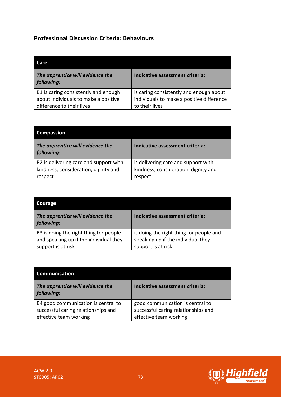## **Professional Discussion Criteria: Behaviours**

| Care                                                                         |                                                                                      |
|------------------------------------------------------------------------------|--------------------------------------------------------------------------------------|
| The apprentice will evidence the<br>following:                               | Indicative assessment criteria:                                                      |
| B1 is caring consistently and enough<br>about individuals to make a positive | is caring consistently and enough about<br>individuals to make a positive difference |
| difference to their lives                                                    | to their lives                                                                       |

| <b>Compassion</b>                                                              |                                                                             |
|--------------------------------------------------------------------------------|-----------------------------------------------------------------------------|
| The apprentice will evidence the<br>following:                                 | Indicative assessment criteria:                                             |
| B2 is delivering care and support with<br>kindness, consideration, dignity and | is delivering care and support with<br>kindness, consideration, dignity and |
| respect                                                                        | respect                                                                     |

| Courage                                                                                                |                                                                                                     |
|--------------------------------------------------------------------------------------------------------|-----------------------------------------------------------------------------------------------------|
| The apprentice will evidence the<br>following:                                                         | Indicative assessment criteria:                                                                     |
| B3 is doing the right thing for people<br>and speaking up if the individual they<br>support is at risk | is doing the right thing for people and<br>speaking up if the individual they<br>support is at risk |

| <b>Communication</b>                           |                                     |
|------------------------------------------------|-------------------------------------|
| The apprentice will evidence the<br>following: | Indicative assessment criteria:     |
| B4 good communication is central to            | good communication is central to    |
| successful caring relationships and            | successful caring relationships and |
| effective team working                         | effective team working              |